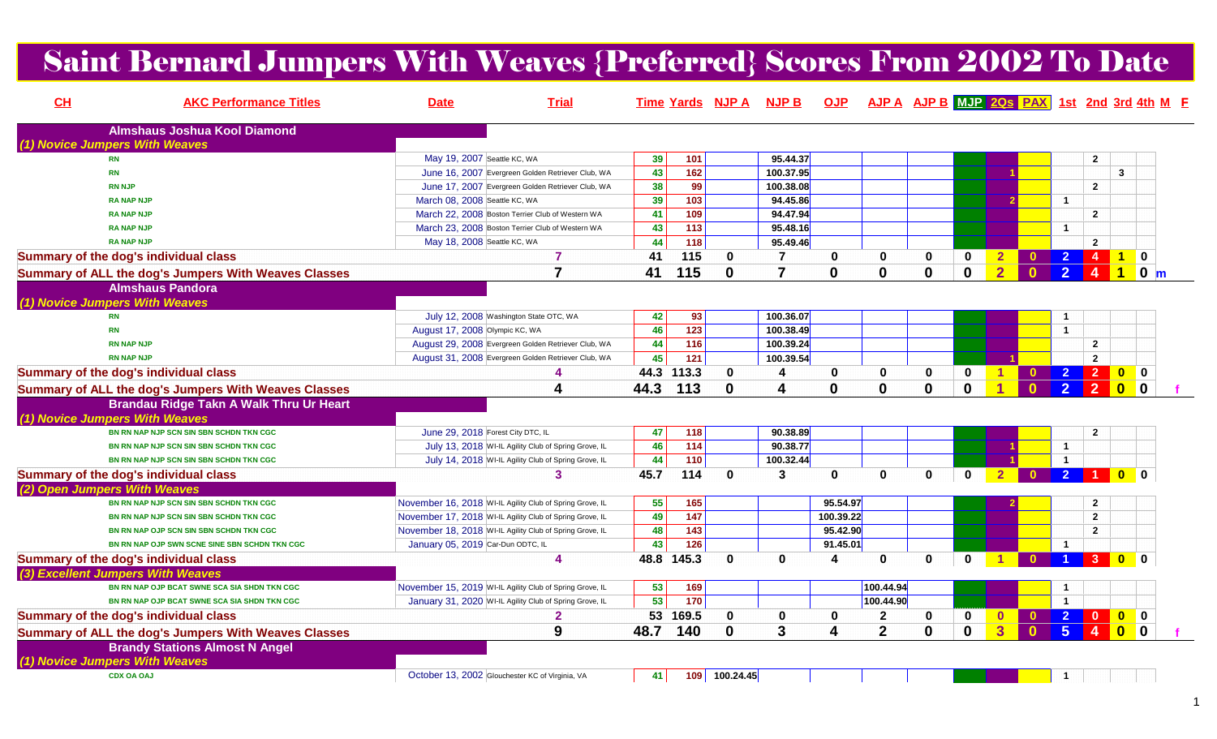## Saint Bernard Jumpers With Weaves {Preferred} Scores From 2002 To Date

| CH                                          | <b>AKC Performance Titles</b>                        | <b>Date</b>                                     | <b>Trial</b>                                             |      |                  |               | Time Yards NJP A NJP B  |              | OJP AJP A AJP B MJP 2Qs PAX 1st 2nd 3rd 4th M F |              |              |                |              |                |                         |                         |                            |  |
|---------------------------------------------|------------------------------------------------------|-------------------------------------------------|----------------------------------------------------------|------|------------------|---------------|-------------------------|--------------|-------------------------------------------------|--------------|--------------|----------------|--------------|----------------|-------------------------|-------------------------|----------------------------|--|
|                                             | <b>Almshaus Joshua Kool Diamond</b>                  |                                                 |                                                          |      |                  |               |                         |              |                                                 |              |              |                |              |                |                         |                         |                            |  |
| (1) Novice Jumpers With Weaves<br><b>RN</b> |                                                      | May 19, 2007 Seattle KC, WA                     |                                                          | 39   | 101              |               | 95.44.37                |              |                                                 |              |              |                |              |                | $\mathbf{2}$            |                         |                            |  |
| <b>RN</b>                                   |                                                      |                                                 | June 16, 2007 Evergreen Golden Retriever Club, WA        | 43   | $\overline{162}$ |               | 100.37.95               |              |                                                 |              |              |                |              |                |                         | $\mathbf{3}$            |                            |  |
|                                             | <b>RN NJP</b>                                        |                                                 | June 17, 2007 Evergreen Golden Retriever Club, WA        | 38   | 99               |               | 100.38.08               |              |                                                 |              |              |                |              |                | $\overline{2}$          |                         |                            |  |
|                                             | <b>RA NAP NJP</b>                                    | March 08, 2008 Seattle KC, WA                   |                                                          | 39   | 103              |               | 94.45.86                |              |                                                 |              |              |                |              | $\overline{1}$ |                         |                         |                            |  |
|                                             | <b>RA NAP NJP</b>                                    |                                                 | March 22, 2008 Boston Terrier Club of Western WA         | 41   | 109              |               | 94.47.94                |              |                                                 |              |              |                |              |                | $\mathbf{2}$            |                         |                            |  |
|                                             | <b>RA NAP NJP</b>                                    |                                                 | March 23, 2008 Boston Terrier Club of Western WA         | 43   | $\frac{1}{113}$  |               | 95.48.16                |              |                                                 |              |              |                |              | $\overline{1}$ |                         |                         |                            |  |
|                                             | <b>RA NAP NJP</b>                                    | May 18, 2008 Seattle KC, WA                     |                                                          | 44   | $\frac{1}{18}$   |               | 95.49.46                |              |                                                 |              |              |                |              |                | $\mathbf{2}$            |                         |                            |  |
|                                             | Summary of the dog's individual class                |                                                 | 7                                                        | 41   | 115              | $\mathbf 0$   | $\overline{7}$          | 0            | $\mathbf 0$                                     | 0            | 0            | $\mathbf{2}$   |              |                | $\overline{4}$          | $\blacktriangleleft$    | $\mathbf 0$                |  |
|                                             | Summary of ALL the dog's Jumpers With Weaves Classes |                                                 | $\overline{7}$                                           | 41   | 115              | $\bf{0}$      | $\overline{\mathbf{z}}$ | $\mathbf{0}$ | $\bf{0}$                                        | 0            | $\bf{0}$     | $\overline{2}$ | $\Omega$     | 2 <sup>1</sup> | $\overline{4}$          | $\vert$ 1               | $0 \mid m$                 |  |
|                                             | <b>Almshaus Pandora</b>                              |                                                 |                                                          |      |                  |               |                         |              |                                                 |              |              |                |              |                |                         |                         |                            |  |
| (1) Novice Jumpers With Weaves              |                                                      |                                                 |                                                          |      |                  |               |                         |              |                                                 |              |              |                |              |                |                         |                         |                            |  |
| <b>RN</b>                                   |                                                      |                                                 | July 12, 2008 Washington State OTC, WA                   | 42   | 93               |               | 100.36.07               |              |                                                 |              |              |                |              | -1             |                         |                         |                            |  |
| <b>RN</b>                                   |                                                      | August 17, 2008 Olympic KC, WA                  |                                                          | 46   | $\frac{1}{123}$  |               | 100.38.49               |              |                                                 |              |              |                |              | $\overline{1}$ |                         |                         |                            |  |
|                                             | <b>RN NAP NJP</b>                                    |                                                 | August 29, 2008 Evergreen Golden Retriever Club, WA      | 44   | 116              |               | 100.39.24               |              |                                                 |              |              |                |              |                | $\mathbf{2}$            |                         |                            |  |
|                                             | <b>RN NAP NJP</b>                                    |                                                 | August 31, 2008 Evergreen Golden Retriever Club, WA      | 45   | 121              |               | 100.39.54               |              |                                                 |              |              |                |              |                | $\mathbf{2}$            |                         |                            |  |
|                                             | Summary of the dog's individual class                |                                                 |                                                          |      | 44.3 113.3       | $\bf{0}$      | 4                       | 0            | 0                                               | $\bf{0}$     | $\mathbf{0}$ |                | $\mathbf{0}$ | $\overline{2}$ | 2 0                     |                         | $\mathbf 0$                |  |
|                                             | Summary of ALL the dog's Jumpers With Weaves Classes |                                                 | Δ                                                        | 44.3 | 113              | $\mathbf{0}$  | Δ                       | $\mathbf{0}$ | $\bf{0}$                                        | 0            | $\mathbf{0}$ |                | n            | $\overline{2}$ | $\overline{2}$          | $\overline{\mathbf{0}}$ | $\blacksquare$ 0           |  |
|                                             |                                                      |                                                 |                                                          |      |                  |               |                         |              |                                                 |              |              |                |              |                |                         |                         |                            |  |
| (1) Novice Jumpers With Weaves              | Brandau Ridge Takn A Walk Thru Ur Heart              |                                                 |                                                          |      |                  |               |                         |              |                                                 |              |              |                |              |                |                         |                         |                            |  |
|                                             | BN RN NAP NJP SCN SIN SBN SCHDN TKN CGC              | June 29, 2018 Forest City DTC, IL               |                                                          | 47   | 118              |               | 90.38.89                |              |                                                 |              |              |                |              |                | $\overline{2}$          |                         |                            |  |
|                                             | BN RN NAP NJP SCN SIN SBN SCHDN TKN CGC              |                                                 | July 13, 2018 WI-IL Agility Club of Spring Grove, IL     | 46   | 114              |               | 90.38.77                |              |                                                 |              |              |                |              | $\overline{1}$ |                         |                         |                            |  |
|                                             | BN RN NAP NJP SCN SIN SBN SCHDN TKN CGC              |                                                 | July 14, 2018 WI-IL Agility Club of Spring Grove, IL     | 44   | 110              |               | 100.32.44               |              |                                                 |              |              |                |              | $\overline{1}$ |                         |                         |                            |  |
|                                             | Summary of the dog's individual class                |                                                 | 3                                                        | 45.7 | 114              | $\mathbf{0}$  | 3                       | $\mathbf{0}$ | $\bf{0}$                                        | $\mathbf{0}$ | $\mathbf{0}$ |                |              | $\overline{2}$ |                         | <b>0</b>                |                            |  |
| (2) Open Jumpers With Weaves                |                                                      |                                                 |                                                          |      |                  |               |                         |              |                                                 |              |              |                |              |                |                         |                         |                            |  |
|                                             | BN RN NAP NJP SCN SIN SBN SCHDN TKN CGC              |                                                 | November 16, 2018 WI-IL Agility Club of Spring Grove, IL | 55   | 165              |               |                         | 95.54.97     |                                                 |              |              |                |              |                | $\overline{2}$          |                         |                            |  |
|                                             | BN RN NAP NJP SCN SIN SBN SCHDN TKN CGC              |                                                 | November 17, 2018 WI-IL Agility Club of Spring Grove, IL | 49   | 147              |               |                         | 100.39.22    |                                                 |              |              |                |              |                | $\mathbf{2}$            |                         |                            |  |
|                                             | BN RN NAP OJP SCN SIN SBN SCHDN TKN CGC              |                                                 | November 18, 2018 WI-IL Agility Club of Spring Grove, IL | 48   | 143              |               |                         | 95.42.90     |                                                 |              |              |                |              |                | $\overline{2}$          |                         |                            |  |
|                                             | BN RN NAP OJP SWN SCNE SINE SBN SCHDN TKN CGC        | January 05, 2019 Car-Dun ODTC, IL               |                                                          | 43   | $\frac{1}{126}$  |               |                         | 91.45.01     |                                                 |              |              |                |              | $\overline{1}$ |                         |                         |                            |  |
|                                             | Summary of the dog's individual class                |                                                 | Δ                                                        | 48.8 | 145.3            | $\mathbf 0$   | $\mathbf{0}$            | 4            | $\mathbf 0$                                     | $\mathbf{0}$ | $\mathbf{0}$ |                |              |                | 3                       | $\mathbf{0}$            |                            |  |
|                                             | (3) Excellent Jumpers With Weaves                    |                                                 |                                                          |      |                  |               |                         |              |                                                 |              |              |                |              |                |                         |                         |                            |  |
|                                             | BN RN NAP OJP BCAT SWNE SCA SIA SHDN TKN CGC         |                                                 | November 15, 2019 WI-IL Agility Club of Spring Grove, IL | 53   | 169              |               |                         |              | 100.44.94                                       |              |              |                |              |                |                         |                         |                            |  |
|                                             | BN RN NAP OJP BCAT SWNE SCA SIA SHDN TKN CGC         |                                                 | January 31, 2020 WI-IL Agility Club of Spring Grove, IL  | 53   | $\frac{1}{170}$  |               |                         |              | 100.44.90                                       |              |              |                |              |                |                         |                         |                            |  |
|                                             | Summary of the dog's individual class                |                                                 | $\mathbf{2}$                                             | 53   | 169.5            | $\mathbf 0$   | $\mathbf{0}$            | $\mathbf 0$  | $\overline{2}$                                  | $\mathbf 0$  | $\mathbf 0$  | $\mathbf{0}$   | $\mathbf{0}$ | $\overline{2}$ | $\overline{\mathbf{0}}$ |                         |                            |  |
|                                             | Summary of ALL the dog's Jumpers With Weaves Classes |                                                 | 9                                                        | 48.7 | 140              | $\bf{0}$      | $\mathbf{3}$            | 4            | $\overline{2}$                                  | $\mathbf{0}$ | $\mathbf 0$  | $\overline{3}$ | $\Omega$     | 5 <sup>1</sup> | $\overline{4}$          | $\overline{\mathbf{0}}$ | $\overline{\phantom{a}}$ 0 |  |
|                                             | <b>Brandy Stations Almost N Angel</b>                |                                                 |                                                          |      |                  |               |                         |              |                                                 |              |              |                |              |                |                         |                         |                            |  |
| (1) Novice Jumpers With Weaves              | <b>CDX OA OAJ</b>                                    | October 13, 2002 Glouchester KC of Virginia, VA |                                                          | 41   |                  | 109 100.24.45 |                         |              |                                                 |              |              |                |              |                |                         |                         |                            |  |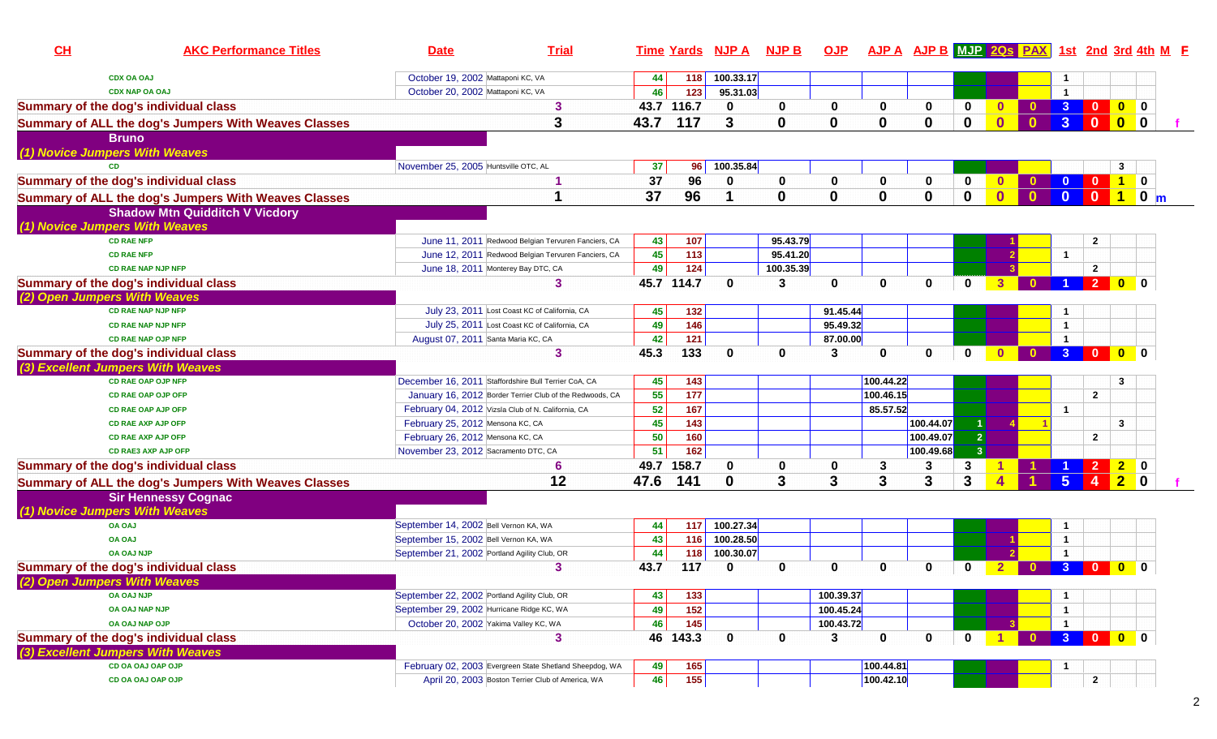| CH                                    | <b>AKC Performance Titles</b>                        | <b>Date</b>                                          | <b>Trial</b>                                             |      |                   | Time Yards NJP A NJP B |             | <u>OJP</u>  |             |                          |                         | AJP A AJP B MJP 2Qs PAX 1st 2nd 3rd 4th M F |                              |                |                                                                                               |                |  |
|---------------------------------------|------------------------------------------------------|------------------------------------------------------|----------------------------------------------------------|------|-------------------|------------------------|-------------|-------------|-------------|--------------------------|-------------------------|---------------------------------------------|------------------------------|----------------|-----------------------------------------------------------------------------------------------|----------------|--|
|                                       | <b>CDX OA OAJ</b>                                    | October 19, 2002 Mattaponi KC, VA                    |                                                          | 44   | 118               | 100.33.17              |             |             |             |                          |                         |                                             |                              |                |                                                                                               |                |  |
|                                       | <b>CDX NAP OA OAJ</b>                                | October 20, 2002 Mattaponi KC, VA                    |                                                          | 46   | 123               | 95.31.03               |             |             |             |                          |                         |                                             | $\mathbf{1}$                 |                |                                                                                               |                |  |
| Summary of the dog's individual class |                                                      |                                                      | 3                                                        |      | 43.7 116.7        | $\mathbf 0$            | $\bf{0}$    | 0           | $\mathbf 0$ | $\bf{0}$                 | 0                       | $\mathbf{0}$                                | $0 \quad 3 \quad 0$          |                |                                                                                               |                |  |
|                                       | Summary of ALL the dog's Jumpers With Weaves Classes |                                                      | 3                                                        | 43.7 | 117               | 3                      | $\mathbf 0$ | 0           | $\bf{0}$    | $\bf{0}$                 | $\mathbf 0$             | $\mathbf{0}$<br>$\mathbf{0}$                | 3                            | $\mathbf{0}$   |                                                                                               |                |  |
|                                       | <b>Bruno</b>                                         |                                                      |                                                          |      |                   |                        |             |             |             |                          |                         |                                             |                              |                |                                                                                               |                |  |
| (1) Novice Jumpers With Weaves        |                                                      |                                                      |                                                          |      |                   |                        |             |             |             |                          |                         |                                             |                              |                |                                                                                               |                |  |
| CD.                                   |                                                      | November 25, 2005 Huntsville OTC, AL                 |                                                          | 37   | 96                | 100.35.84              |             |             |             |                          |                         |                                             |                              |                | 3                                                                                             |                |  |
| Summary of the dog's individual class |                                                      |                                                      |                                                          | 37   | 96                | 0                      | 0           | 0           | $\mathbf 0$ | $\mathbf 0$              | $\mathbf 0$             | $\mathbf{0}$                                | $\mathbf{0}$<br>$\mathbf{0}$ | - 0            | $\begin{array}{ c c c c c } \hline \textbf{1} & \textbf{0} & \textbf{0} \ \hline \end{array}$ |                |  |
|                                       | Summary of ALL the dog's Jumpers With Weaves Classes |                                                      |                                                          | 37   | 96                |                        | 0           | $\bf{0}$    | $\mathbf 0$ | $\bf{0}$                 | $\mathbf 0$             | $\overline{\mathbf{0}}$<br>$\mathbf{0}$     | $\mathbf{0}$                 | $\mathbf{0}$   | $\blacktriangleleft$                                                                          | $\bullet$ m    |  |
|                                       | <b>Shadow Mtn Quidditch V Vicdory</b>                |                                                      |                                                          |      |                   |                        |             |             |             |                          |                         |                                             |                              |                |                                                                                               |                |  |
| (1) Novice Jumpers With Weaves        |                                                      |                                                      |                                                          |      |                   |                        |             |             |             |                          |                         |                                             |                              |                |                                                                                               |                |  |
|                                       | <b>CD RAE NFP</b>                                    |                                                      | June 11, 2011 Redwood Belgian Tervuren Fanciers, CA      | 43   | 107               |                        | 95.43.79    |             |             |                          |                         |                                             |                              | $\mathbf{2}$   |                                                                                               |                |  |
|                                       | <b>CD RAE NFP</b>                                    |                                                      | June 12, 2011 Redwood Belgian Tervuren Fanciers, CA      | 45   | 113               |                        | 95.41.20    |             |             |                          |                         |                                             | $\mathbf{1}$                 |                |                                                                                               |                |  |
|                                       | <b>CD RAE NAP NJP NFP</b>                            | June 18, 2011 Monterey Bay DTC, CA                   |                                                          | 49   | 124               |                        | 100.35.39   |             |             |                          |                         |                                             |                              | $\overline{2}$ |                                                                                               |                |  |
| Summary of the dog's individual class |                                                      |                                                      | 3                                                        |      | 45.7 114.7        | $\bf{0}$               | 3           | $\mathbf 0$ | $\mathbf 0$ | 0                        | $\mathbf 0$             | 3<br>$\mathbf{0}$                           |                              |                | 200                                                                                           |                |  |
| (2) Open Jumpers With Weaves          |                                                      |                                                      |                                                          |      |                   |                        |             |             |             |                          |                         |                                             |                              |                |                                                                                               |                |  |
|                                       | <b>CD RAE NAP NJP NFP</b>                            |                                                      | July 23, 2011 Lost Coast KC of California, CA            | 45   | 132               |                        |             | 91.45.44    |             |                          |                         |                                             | $\mathbf 1$                  |                |                                                                                               |                |  |
|                                       | <b>CD RAE NAP NJP NFP</b>                            |                                                      | July 25, 2011 Lost Coast KC of California, CA            | 49   | 146               |                        |             | 95.49.32    |             |                          |                         |                                             | $\mathbf{1}$                 |                |                                                                                               |                |  |
|                                       | <b>CD RAE NAP OJP NFP</b>                            | August 07, 2011 Santa Maria KC, CA                   |                                                          | 42   | 121               |                        |             | 87.00.00    |             |                          |                         |                                             | $\mathbf{1}$                 |                |                                                                                               |                |  |
| Summary of the dog's individual class |                                                      |                                                      | 3                                                        | 45.3 | 133               | 0                      | 0           | 3           | 0           | $\mathbf 0$              | $\mathbf 0$             | $\mathbf{0}$<br>$\mathbf{0}$                | 3 <sup>2</sup>               | $\bullet$      | $\bullet$                                                                                     | $\bf{0}$       |  |
| (3) Excellent Jumpers With Weaves     |                                                      |                                                      |                                                          |      |                   |                        |             |             |             |                          |                         |                                             |                              |                |                                                                                               |                |  |
|                                       | <b>CD RAE OAP OJP NFP</b>                            | December 16, 2011 Staffordshire Bull Terrier CoA, CA |                                                          | 45   | 143               |                        |             |             | 100.44.22   |                          |                         |                                             |                              |                | 3                                                                                             |                |  |
|                                       | <b>CD RAE OAP OJP OFP</b>                            |                                                      | January 16, 2012 Border Terrier Club of the Redwoods, CA | 55   | 177               |                        |             |             | 100.46.15   |                          |                         |                                             |                              | $\mathbf{2}$   |                                                                                               |                |  |
|                                       | <b>CD RAE OAP AJP OFP</b>                            | February 04, 2012 Vizsla Club of N. California, CA   |                                                          | 52   | $\frac{167}{167}$ |                        |             |             | 85.57.52    |                          |                         |                                             | $\mathbf{1}$                 |                |                                                                                               |                |  |
|                                       | <b>CD RAE AXP AJP OFP</b>                            | February 25, 2012 Mensona KC, CA                     |                                                          | 45   | 143               |                        |             |             |             | 100.44.07                |                         |                                             |                              |                | 3                                                                                             |                |  |
|                                       | <b>CD RAE AXP AJP OFP</b>                            | February 26, 2012 Mensona KC, CA                     |                                                          | 50   | 160               |                        |             |             |             | 100.49.07                | $\mathbf{2}$            |                                             |                              | $\overline{2}$ |                                                                                               |                |  |
|                                       | <b>CD RAE3 AXP AJP OFP</b>                           | November 23, 2012 Sacramento DTC, CA                 |                                                          | 51   | 162               |                        |             |             |             | $ 100.49.\overline{68} $ | $\overline{\mathbf{3}}$ |                                             |                              |                |                                                                                               |                |  |
| Summary of the dog's individual class |                                                      |                                                      | 6                                                        | 49.7 | 158.7             | 0                      | 0           | 0           | 3           | 3                        | 3                       |                                             |                              | $\overline{2}$ | 2 <sub>1</sub>                                                                                | 0              |  |
|                                       | Summary of ALL the dog's Jumpers With Weaves Classes |                                                      | 12                                                       | 47.6 | 141               | $\mathbf 0$            | 3           | 3           | 3           | $\mathbf{3}$             | 3                       |                                             | 5 <sup>1</sup>               | $\overline{4}$ | 2 <sub>2</sub>                                                                                | $\blacksquare$ |  |
|                                       | <b>Sir Hennessy Cognac</b>                           |                                                      |                                                          |      |                   |                        |             |             |             |                          |                         |                                             |                              |                |                                                                                               |                |  |
| (1) Novice Jumpers With Weaves        |                                                      |                                                      |                                                          |      |                   |                        |             |             |             |                          |                         |                                             |                              |                |                                                                                               |                |  |
| <b>OA OAJ</b>                         |                                                      | September 14, 2002 Bell Vernon KA, WA                |                                                          | 44   | 117               | 100.27.34              |             |             |             |                          |                         |                                             | -1                           |                |                                                                                               |                |  |
| <b>OA OAJ</b>                         |                                                      | September 15, 2002 Bell Vernon KA, WA                |                                                          | 43   | 116               | 100.28.50              |             |             |             |                          |                         |                                             | $\mathbf{1}$                 |                |                                                                                               |                |  |
|                                       | <b>OA OAJ NJP</b>                                    | September 21, 2002 Portland Agility Club, OR         |                                                          | 44   | 118               | 100.30.07              |             |             |             |                          |                         |                                             | $\overline{1}$               |                |                                                                                               |                |  |
| Summary of the dog's individual class |                                                      |                                                      | 3                                                        | 43.7 | 117               | 0                      | 0           | 0           | 0           | 0                        | 0                       |                                             | 3 <sup>1</sup>               | $\mathbf{0}$   | $\bullet$                                                                                     | $\mathbf 0$    |  |
| (2) Open Jumpers With Weaves          |                                                      |                                                      |                                                          |      |                   |                        |             |             |             |                          |                         |                                             |                              |                |                                                                                               |                |  |
|                                       | <b>OA OAJ NJP</b>                                    | September 22, 2002 Portland Agility Club, OR         |                                                          | 43   | 133               |                        |             | 100.39.37   |             |                          |                         |                                             |                              |                |                                                                                               |                |  |
|                                       | OA OAJ NAP NJP                                       | September 29, 2002 Hurricane Ridge KC, WA            |                                                          | 49   | 152               |                        |             | 100.45.24   |             |                          |                         |                                             | $\mathbf{1}$                 |                |                                                                                               |                |  |
|                                       | OA OAJ NAP OJP                                       | October 20, 2002 Yakima Valley KC, WA                |                                                          | 46   | 145               |                        |             | 100.43.72   |             |                          |                         |                                             |                              |                |                                                                                               |                |  |
| Summary of the dog's individual class |                                                      |                                                      | 3                                                        |      | 46 143.3          | $\mathbf 0$            | 0           | 3           | $\mathbf 0$ | $\mathbf 0$              | $\mathbf{0}$            |                                             | 0 3 0 0 0                    |                |                                                                                               |                |  |
| (3) Excellent Jumpers With Weaves     |                                                      |                                                      |                                                          |      |                   |                        |             |             |             |                          |                         |                                             |                              |                |                                                                                               |                |  |
|                                       | CD OA OAJ OAP OJP                                    |                                                      | February 02, 2003 Evergreen State Shetland Sheepdog, WA  | 49   | 165               |                        |             |             | 100.44.81   |                          |                         |                                             |                              |                |                                                                                               |                |  |
|                                       | CD OA OAJ OAP OJP                                    |                                                      | April 20, 2003 Boston Terrier Club of America, WA        | 46   | $\boxed{155}$     |                        |             |             | 100.42.10   |                          |                         |                                             |                              | $\overline{2}$ |                                                                                               |                |  |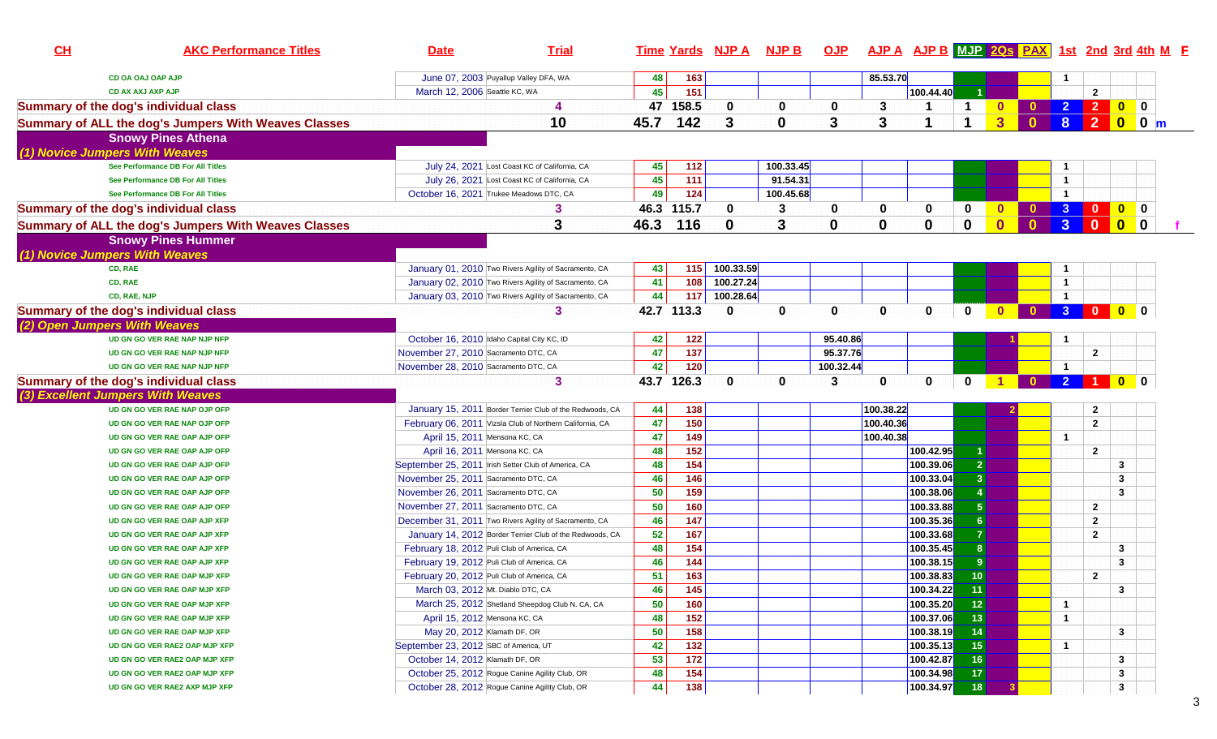| CH | <b>AKC Performance Titles</b>                                | <b>Date</b>                           | <b>Trial</b>                                                                                           |          |                 | Time Yards NJP A NJP B OJP AJP A AJP B MJP 20s PAX 1st 2nd 3rd 4th M F |             |             |           |                        |                                  |                |              |                         |                                                                                     |                                                                |      |  |
|----|--------------------------------------------------------------|---------------------------------------|--------------------------------------------------------------------------------------------------------|----------|-----------------|------------------------------------------------------------------------|-------------|-------------|-----------|------------------------|----------------------------------|----------------|--------------|-------------------------|-------------------------------------------------------------------------------------|----------------------------------------------------------------|------|--|
|    | <b>CD OA OAJ OAP AJP</b>                                     |                                       | June 07, 2003 Puyallup Valley DFA, WA                                                                  | 48       | 163             |                                                                        |             |             | 85.53.70  |                        |                                  |                |              |                         |                                                                                     |                                                                |      |  |
|    | <b>CD AX AXJ AXP AJP</b>                                     | March 12, 2006 Seattle KC, WA         |                                                                                                        | 45       | 151             |                                                                        |             |             |           | 100.44.40              |                                  |                |              |                         | $\mathbf{2}$                                                                        |                                                                |      |  |
|    | Summary of the dog's individual class                        |                                       | 4                                                                                                      |          | 47 158.5        | 0                                                                      | 0           | 0           | 3         | -1                     | $\mathbf 1$                      | $\mathbf{0}$   |              |                         | 2 2 0 0                                                                             |                                                                |      |  |
|    | Summary of ALL the dog's Jumpers With Weaves Classes         |                                       | 10                                                                                                     | 45.7     | 142             | 3                                                                      | $\mathbf 0$ | 3           | 3         |                        |                                  | 3 <sup>1</sup> | $\mathbf{0}$ | 8                       |                                                                                     |                                                                | 200m |  |
|    | <b>Snowy Pines Athena</b>                                    |                                       |                                                                                                        |          |                 |                                                                        |             |             |           |                        |                                  |                |              |                         |                                                                                     |                                                                |      |  |
|    | (1) Novice Jumpers With Weaves                               |                                       |                                                                                                        |          |                 |                                                                        |             |             |           |                        |                                  |                |              |                         |                                                                                     |                                                                |      |  |
|    | See Performance DB For All Titles                            |                                       | July 24, 2021 Lost Coast KC of California, CA                                                          | 45       | 112             |                                                                        | 100.33.45   |             |           |                        |                                  |                |              |                         |                                                                                     |                                                                |      |  |
|    | See Performance DB For All Titles                            |                                       | July 26, 2021 Lost Coast KC of California, CA                                                          | 45       | 111             |                                                                        | 91.54.31    |             |           |                        |                                  |                |              | $\mathbf{1}$            |                                                                                     |                                                                |      |  |
|    | See Performance DB For All Titles                            |                                       | October 16, 2021 Trukee Meadows DTC, CA                                                                | 49       | 124             |                                                                        | 100.45.68   |             |           |                        |                                  |                |              | -1                      |                                                                                     |                                                                |      |  |
|    | Summary of the dog's individual class                        |                                       | 3                                                                                                      |          | 46.3 115.7      | $\mathbf 0$                                                            | 3           | 0           | 0         | 0                      | 0                                | $\mathbf{0}$   | $\mathbf{0}$ |                         | 3 0 0 0                                                                             |                                                                |      |  |
|    | <b>Summary of ALL the dog's Jumpers With Weaves Classes</b>  |                                       | 3                                                                                                      | 46.3     | 116             | $\mathbf 0$                                                            | 3           | $\bf{0}$    | 0         | $\mathbf 0$            | $\mathbf 0$                      | $\mathbf{0}$   | $\mathbf{0}$ | 3 <sup>1</sup>          | $\overline{\mathbf{0}}$                                                             | $\begin{array}{ c c c }\n\hline\n0 & 0 \\ \hline\n\end{array}$ |      |  |
|    | <b>Snowy Pines Hummer</b>                                    |                                       |                                                                                                        |          |                 |                                                                        |             |             |           |                        |                                  |                |              |                         |                                                                                     |                                                                |      |  |
|    | (1) Novice Jumpers With Weaves                               |                                       |                                                                                                        |          |                 |                                                                        |             |             |           |                        |                                  |                |              |                         |                                                                                     |                                                                |      |  |
|    | CD, RAE                                                      |                                       | January 01, 2010 Two Rivers Agility of Sacramento, CA                                                  | 43       | 115             | 100.33.59                                                              |             |             |           |                        |                                  |                |              | -1                      |                                                                                     |                                                                |      |  |
|    | CD, RAE                                                      |                                       | January 02, 2010 Two Rivers Agility of Sacramento, CA                                                  | 41       | 108             | 100.27.24                                                              |             |             |           |                        |                                  |                |              | -1                      |                                                                                     |                                                                |      |  |
|    | CD, RAE, NJP                                                 |                                       | January 03, 2010 Two Rivers Agility of Sacramento, CA                                                  | 44       | 117             | 100.28.64                                                              |             |             |           |                        |                                  |                |              | $\overline{\mathbf{1}}$ |                                                                                     |                                                                |      |  |
|    | <b>Summary of the dog's individual class</b>                 |                                       | 3                                                                                                      |          | 42.7 113.3      | $\mathbf{0}$                                                           | $\bf{0}$    | $\mathbf 0$ | $\bf{0}$  | $\bf{0}$               | $\bf{0}$                         | $\bf{0}$       | $\mathbf{0}$ | 3 <sup>2</sup>          | $\begin{array}{ c c c c c }\hline \textbf{0} & \textbf{0} & \textbf{0} \end{array}$ |                                                                |      |  |
|    | (2) Open Jumpers With Weaves                                 |                                       |                                                                                                        |          |                 |                                                                        |             |             |           |                        |                                  |                |              |                         |                                                                                     |                                                                |      |  |
|    | UD GN GO VER RAE NAP NJP NFP                                 |                                       | October 16, 2010 Idaho Capital City KC, ID                                                             | 42       | 122             |                                                                        |             | 95.40.86    |           |                        |                                  |                |              |                         |                                                                                     |                                                                |      |  |
|    | UD GN GO VER RAE NAP NJP NFP                                 | November 27, 2010 Sacramento DTC, CA  |                                                                                                        | 47       | 137             |                                                                        |             | 95.37.76    |           |                        |                                  |                |              |                         | $\mathbf{2}$                                                                        |                                                                |      |  |
|    | UD GN GO VER RAE NAP NJP NFP                                 | November 28, 2010 Sacramento DTC, CA  |                                                                                                        | 42       | 120             |                                                                        |             | 100.32.44   |           |                        |                                  |                |              | -1                      |                                                                                     |                                                                |      |  |
|    | Summary of the dog's individual class                        |                                       | 3                                                                                                      |          | 43.7 126.3      | $\bf{0}$                                                               | 0           | 3           | 0         | $\mathbf 0$            | $\bf{0}$                         |                | $\mathbf{0}$ | $\overline{2}$          |                                                                                     | $\mathbf{0}$                                                   |      |  |
|    | (3) Excellent Jumpers With Weaves                            |                                       |                                                                                                        |          |                 |                                                                        |             |             |           |                        |                                  |                |              |                         |                                                                                     |                                                                |      |  |
|    | UD GN GO VER RAE NAP OJP OFP                                 |                                       | January 15, 2011 Border Terrier Club of the Redwoods, CA                                               | 44       | 138             |                                                                        |             |             | 100.38.22 |                        |                                  |                |              |                         | $\mathbf{2}$                                                                        |                                                                |      |  |
|    | UD GN GO VER RAE NAP OJP OFP                                 |                                       | February 06, 2011 Vizsla Club of Northern California, CA                                               | 47       | 150             |                                                                        |             |             | 100.40.36 |                        |                                  |                |              |                         | $\overline{2}$                                                                      |                                                                |      |  |
|    | UD GN GO VER RAE OAP AJP OFP                                 |                                       | April 15, 2011 Mensona KC, CA                                                                          | 47       | 149             |                                                                        |             |             | 100.40.38 |                        |                                  |                |              | $\mathbf{1}$            |                                                                                     |                                                                |      |  |
|    | UD GN GO VER RAE OAP AJP OFP                                 |                                       | April 16, 2011 Mensona KC, CA                                                                          | 48       | 152             |                                                                        |             |             |           | 100.42.95              |                                  |                |              |                         | $\mathbf{2}$                                                                        |                                                                |      |  |
|    | UD GN GO VER RAE OAP AJP OFP                                 |                                       | September 25, 2011 Irish Setter Club of America, CA                                                    | 48       | 154             |                                                                        |             |             |           | 100.39.06              | $\overline{2}$                   |                |              |                         |                                                                                     | 3                                                              |      |  |
|    | UD GN GO VER RAE OAP AJP OFP                                 | November 25, 2011 Sacramento DTC, CA  |                                                                                                        | 46       | 146             |                                                                        |             |             |           | 100.33.04              | $\overline{3}$                   |                |              |                         |                                                                                     | 3                                                              |      |  |
|    | UD GN GO VER RAE OAP AJP OFP                                 | November 26, 2011 Sacramento DTC, CA  |                                                                                                        | 50       | 159             |                                                                        |             |             |           | 100.38.06              |                                  |                |              |                         |                                                                                     | 3                                                              |      |  |
|    | UD GN GO VER RAE OAP AJP OFP                                 | November 27, 2011 Sacramento DTC, CA  |                                                                                                        | 50       | 160             |                                                                        |             |             |           | 100.33.88              | 5 <sup>1</sup>                   |                |              |                         | $\overline{2}$                                                                      |                                                                |      |  |
|    | UD GN GO VER RAE OAP AJP XFP                                 |                                       | December 31, 2011 Two Rivers Agility of Sacramento, CA                                                 | 46       | 147             |                                                                        |             |             |           | 100.35.36              | 6                                |                |              |                         | $\overline{2}$                                                                      |                                                                |      |  |
|    | UD GN GO VER RAE OAP AJP XFP<br>UD GN GO VER RAE OAP AJP XFP |                                       | January 14, 2012 Border Terrier Club of the Redwoods, CA<br>February 18, 2012 Puli Club of America, CA | 52       | 167<br>154      |                                                                        |             |             |           | 100.33.68<br>100.35.45 | $\overline{7}$<br>8 <sup>1</sup> |                |              |                         | $\overline{2}$                                                                      |                                                                |      |  |
|    | UD GN GO VER RAE OAP AJP XFP                                 |                                       | February 19, 2012 Puli Club of America, CA                                                             | 48<br>46 | 144             |                                                                        |             |             |           | 100.38.15              | 9                                |                |              |                         |                                                                                     | 3<br>3                                                         |      |  |
|    | UD GN GO VER RAE OAP MJP XFP                                 |                                       | February 20, 2012 Puli Club of America, CA                                                             | 51       | 163             |                                                                        |             |             |           | 100.38.83              | 10 <sup>°</sup>                  |                |              |                         | $\overline{2}$                                                                      |                                                                |      |  |
|    | UD GN GO VER RAE OAP MJP XFP                                 |                                       | March 03, 2012 Mt. Diablo DTC, CA                                                                      | 46       | 145             |                                                                        |             |             |           | 100.34.22              | 11                               |                |              |                         |                                                                                     | $\mathbf{3}$                                                   |      |  |
|    | UD GN GO VER RAE OAP MJP XFP                                 |                                       | March 25, 2012 Shetland Sheepdog Club N. CA, CA                                                        | 50       | 160             |                                                                        |             |             |           | 100.35.20              | 12                               |                |              | -1                      |                                                                                     |                                                                |      |  |
|    | UD GN GO VER RAE OAP MJP XFP                                 |                                       | April 15, 2012 Mensona KC, CA                                                                          | 48       | 152             |                                                                        |             |             |           | 100.37.06              | 13                               |                |              | $\mathbf{1}$            |                                                                                     |                                                                |      |  |
|    | UD GN GO VER RAE OAP MJP XFP                                 |                                       | May 20, 2012 Klamath DF, OR                                                                            | 50       | 158             |                                                                        |             |             |           | 100.38.19              | 14                               |                |              |                         |                                                                                     | 3                                                              |      |  |
|    | UD GN GO VER RAE2 OAP MJP XFP                                | September 23, 2012 SBC of America, UT |                                                                                                        | 42       | 132             |                                                                        |             |             |           | 100.35.13              | 15                               |                |              | $\mathbf{1}$            |                                                                                     |                                                                |      |  |
|    | UD GN GO VER RAE2 OAP MJP XFP                                | October 14, 2012 Klamath DF, OR       |                                                                                                        | 53       | $\frac{1}{172}$ |                                                                        |             |             |           | 100.42.87              | 16                               |                |              |                         |                                                                                     | 3                                                              |      |  |
|    | UD GN GO VER RAE2 OAP MJP XFP                                |                                       | October 25, 2012 Rogue Canine Agility Club, OR                                                         | 48       | 154             |                                                                        |             |             |           | 100.34.98              | 17                               |                |              |                         |                                                                                     | 3                                                              |      |  |
|    | UD GN GO VER RAE2 AXP MJP XFP                                |                                       | October 28, 2012 Rogue Canine Agility Club, OR                                                         | 44       | 138             |                                                                        |             |             |           | 100.34.97              | 18                               |                |              |                         |                                                                                     | 3                                                              |      |  |
|    |                                                              |                                       |                                                                                                        |          |                 |                                                                        |             |             |           |                        |                                  |                |              |                         |                                                                                     |                                                                |      |  |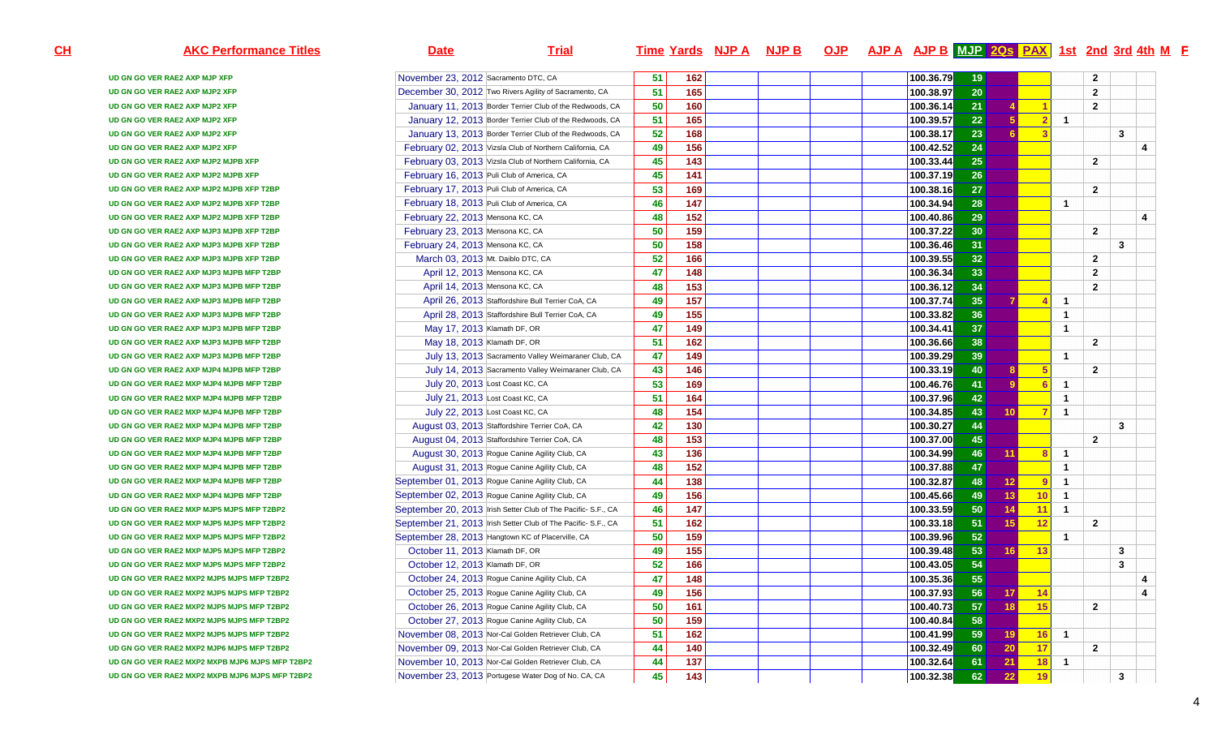| <b>AKC Performance Titles</b>                   | <b>Date</b><br><b>Trial</b>                                   |    |                   | <u>Time Yards NJP A</u> | <u>NJP B</u> | <b>OJP</b> | <u>AJP A AJP B MJP 20s PAX 1st 2nd 3rd 4th M F</u> |           |                 |                 |                |                |                |              |   |
|-------------------------------------------------|---------------------------------------------------------------|----|-------------------|-------------------------|--------------|------------|----------------------------------------------------|-----------|-----------------|-----------------|----------------|----------------|----------------|--------------|---|
| UD GN GO VER RAE2 AXP MJP XFP                   | November 23, 2012 Sacramento DTC, CA                          | 51 | 162               |                         |              |            |                                                    | 100.36.79 | 19              |                 |                |                | $\mathbf{2}$   |              |   |
| UD GN GO VER RAE2 AXP MJP2 XFP                  | December 30, 2012 Two Rivers Agility of Sacramento, CA        | 51 | 165               |                         |              |            |                                                    | 100.38.97 | 20 <sup>°</sup> |                 |                |                | $\mathbf{2}$   |              |   |
| UD GN GO VER RAE2 AXP MJP2 XFP                  | January 11, 2013 Border Terrier Club of the Redwoods, CA      | 50 | 160               |                         |              |            |                                                    | 100.36.14 | 21              |                 |                |                | $\overline{2}$ |              |   |
| UD GN GO VER RAE2 AXP MJP2 XFP                  | January 12, 2013 Border Terrier Club of the Redwoods, CA      | 51 | 165               |                         |              |            |                                                    | 100.39.57 | 22              |                 | $\overline{2}$ | $\mathbf{1}$   |                |              |   |
| UD GN GO VER RAE2 AXP MJP2 XFP                  | January 13, 2013 Border Terrier Club of the Redwoods, CA      | 52 | 168               |                         |              |            |                                                    | 100.38.17 | 23              |                 | -3             |                |                | 3            |   |
| UD GN GO VER RAE2 AXP MJP2 XFP                  | February 02, 2013 Vizsla Club of Northern California, CA      | 49 | 156               |                         |              |            |                                                    | 100.42.52 | 24              |                 |                |                |                |              | 4 |
| UD GN GO VER RAE2 AXP MJP2 MJPB XFP             | February 03, 2013 Vizsla Club of Northern California, CA      | 45 | 143               |                         |              |            |                                                    | 100.33.44 | 25              |                 |                |                | $\mathbf{2}$   |              |   |
| UD GN GO VER RAE2 AXP MJP2 MJPB XFP             | February 16, 2013 Puli Club of America, CA                    | 45 | 141               |                         |              |            |                                                    | 100.37.19 | 26              |                 |                |                |                |              |   |
| UD GN GO VER RAE2 AXP MJP2 MJPB XFP T2BP        | February 17, 2013 Puli Club of America, CA                    | 53 | 169               |                         |              |            |                                                    | 100.38.16 | 27              |                 |                |                | $\overline{2}$ |              |   |
| UD GN GO VER RAE2 AXP MJP2 MJPB XFP T2BP        | February 18, 2013 Puli Club of America, CA                    | 46 | $\frac{147}{147}$ |                         |              |            |                                                    | 100.34.94 | 28              |                 |                | $\mathbf{1}$   |                |              |   |
| UD GN GO VER RAE2 AXP MJP2 MJPB XFP T2BP        | February 22, 2013 Mensona KC, CA                              | 48 | 152               |                         |              |            |                                                    | 100.40.86 | 29              |                 |                |                |                |              | 4 |
| UD GN GO VER RAE2 AXP MJP3 MJPB XFP T2BP        | February 23, 2013 Mensona KC, CA                              | 50 | 159               |                         |              |            |                                                    | 100.37.22 | 30 <sup>°</sup> |                 |                |                | $\overline{2}$ |              |   |
| UD GN GO VER RAE2 AXP MJP3 MJPB XFP T2BP        | February 24, 2013 Mensona KC, CA                              | 50 | 158               |                         |              |            |                                                    | 100.36.46 | 31              |                 |                |                |                | $\mathbf{3}$ |   |
| UD GN GO VER RAE2 AXP MJP3 MJPB XFP T2BP        | March 03, 2013 Mt. Daiblo DTC, CA                             | 52 | 166               |                         |              |            |                                                    | 100.39.55 | 32              |                 |                |                | $\overline{2}$ |              |   |
| UD GN GO VER RAE2 AXP MJP3 MJPB MFP T2BP        | April 12, 2013 Mensona KC, CA                                 | 47 | 148               |                         |              |            |                                                    | 100.36.34 | 33              |                 |                |                | $\overline{2}$ |              |   |
| UD GN GO VER RAE2 AXP MJP3 MJPB MFP T2BP        | April 14, 2013 Mensona KC, CA                                 | 48 | 153               |                         |              |            |                                                    | 100.36.12 | 34              |                 |                |                | $\mathbf{2}$   |              |   |
| UD GN GO VER RAE2 AXP MJP3 MJPB MFP T2BP        | April 26, 2013 Staffordshire Bull Terrier CoA, CA             | 49 | 157               |                         |              |            |                                                    | 100.37.74 | 35              |                 | -4             | -1             |                |              |   |
| UD GN GO VER RAE2 AXP MJP3 MJPB MFP T2BP        | April 28, 2013 Staffordshire Bull Terrier CoA, CA             | 49 | 155               |                         |              |            |                                                    | 100.33.82 | 36              |                 |                | -1             |                |              |   |
| UD GN GO VER RAE2 AXP MJP3 MJPB MFP T2BP        | May 17, 2013 Klamath DF, OR                                   | 47 | 149               |                         |              |            |                                                    | 100.34.41 | 37              |                 |                | $\overline{1}$ |                |              |   |
| UD GN GO VER RAE2 AXP MJP3 MJPB MFP T2BP        | May 18, 2013 Klamath DF, OR                                   | 51 | 162               |                         |              |            |                                                    | 100.36.66 | 38              |                 |                |                | $\mathbf{2}$   |              |   |
| UD GN GO VER RAE2 AXP MJP3 MJPB MFP T2BP        | July 13, 2013 Sacramento Valley Weimaraner Club, CA           | 47 | 149               |                         |              |            |                                                    | 100.39.29 | 39              |                 |                | -1             |                |              |   |
| UD GN GO VER RAE2 AXP MJP4 MJPB MFP T2BP        | July 14, 2013 Sacramento Valley Weimaraner Club, CA           | 43 | 146               |                         |              |            |                                                    | 100.33.19 | 40              |                 | 5              |                | $\overline{2}$ |              |   |
| UD GN GO VER RAE2 MXP MJP4 MJPB MFP T2BP        | July 20, 2013 Lost Coast KC, CA                               | 53 | 169               |                         |              |            |                                                    | 100.46.76 | 41              |                 | 6              | -1             |                |              |   |
| UD GN GO VER RAE2 MXP MJP4 MJPB MFP T2BP        | July 21, 2013 Lost Coast KC, CA                               | 51 | 164               |                         |              |            |                                                    | 100.37.96 | 42              |                 |                | $\overline{1}$ |                |              |   |
| UD GN GO VER RAE2 MXP MJP4 MJPB MFP T2BP        | July 22, 2013 Lost Coast KC, CA                               | 48 | 154               |                         |              |            |                                                    | 100.34.85 | 43              | 10              | $\overline{7}$ | $\overline{1}$ |                |              |   |
| UD GN GO VER RAE2 MXP MJP4 MJPB MFP T2BP        | August 03, 2013 Staffordshire Terrier CoA, CA                 | 42 | 130               |                         |              |            |                                                    | 100.30.27 | 44              |                 |                |                |                | 3            |   |
| UD GN GO VER RAE2 MXP MJP4 MJPB MFP T2BP        | August 04, 2013 Staffordshire Terrier CoA, CA                 | 48 | 153               |                         |              |            |                                                    | 100.37.00 | 45              |                 |                |                | $\mathbf{2}$   |              |   |
| UD GN GO VER RAE2 MXP MJP4 MJPB MFP T2BP        | August 30, 2013 Rogue Canine Agility Club, CA                 | 43 | 136               |                         |              |            |                                                    | 100.34.99 | 46              | 11.             | 8              | -1             |                |              |   |
| UD GN GO VER RAE2 MXP MJP4 MJPB MFP T2BP        | August 31, 2013 Rogue Canine Agility Club, CA                 | 48 | 152               |                         |              |            |                                                    | 100.37.88 | 47              |                 |                | -1             |                |              |   |
| UD GN GO VER RAE2 MXP MJP4 MJPB MFP T2BP        | September 01, 2013 Rogue Canine Agility Club, CA              | 44 | 138               |                         |              |            |                                                    | 100.32.87 | 48              | 12.             | $\overline{9}$ | -1             |                |              |   |
| UD GN GO VER RAE2 MXP MJP4 MJPB MFP T2BP        | September 02, 2013 Rogue Canine Agility Club, CA              | 49 | 156               |                         |              |            |                                                    | 100.45.66 | 49              | 13.             | 10             | $\overline{1}$ |                |              |   |
| UD GN GO VER RAE2 MXP MJP5 MJPS MFP T2BP2       | September 20, 2013 Irish Setter Club of The Pacific- S.F., CA | 46 | 147               |                         |              |            |                                                    | 100.33.59 | 50              |                 | 11             | $\overline{1}$ |                |              |   |
| UD GN GO VER RAE2 MXP MJP5 MJPS MFP T2BP2       | September 21, 2013 Irish Setter Club of The Pacific-S.F., CA  | 51 | 162               |                         |              |            |                                                    | 100.33.18 | 51              | 15.             | 12             |                | $\overline{2}$ |              |   |
| UD GN GO VER RAE2 MXP MJP5 MJPS MFP T2BP2       | September 28, 2013 Hangtown KC of Placerville, CA             | 50 | 159               |                         |              |            |                                                    | 100.39.96 | 52              |                 |                | $\mathbf{1}$   |                |              |   |
| UD GN GO VER RAE2 MXP MJP5 MJPS MFP T2BP2       | October 11, 2013 Klamath DF, OR                               | 49 | 155               |                         |              |            |                                                    | 100.39.48 | 53              | 16 I            | 13             |                |                | 3            |   |
| UD GN GO VER RAE2 MXP MJP5 MJPS MFP T2BP2       | October 12, 2013 Klamath DF, OR                               | 52 | 166               |                         |              |            |                                                    | 100.43.05 | 54              |                 |                |                |                | 3            |   |
| UD GN GO VER RAE2 MXP2 MJP5 MJPS MFP T2BP2      | October 24, 2013 Rogue Canine Agility Club, CA                | 47 | 148               |                         |              |            |                                                    | 100.35.36 | 55              |                 |                |                |                |              | 4 |
| UD GN GO VER RAE2 MXP2 MJP5 MJPS MFP T2BP2      | October 25, 2013 Rogue Canine Agility Club, CA                | 49 | 156               |                         |              |            |                                                    | 100.37.93 | 56              | <u>17   </u>    | 14             |                |                |              | 4 |
| UD GN GO VER RAE2 MXP2 MJP5 MJPS MFP T2BP2      | October 26, 2013 Rogue Canine Agility Club, CA                | 50 | 161               |                         |              |            |                                                    | 100.40.73 | 57              | 18 <sup>1</sup> | 15             |                | $\overline{2}$ |              |   |
| UD GN GO VER RAE2 MXP2 MJP5 MJPS MFP T2BP2      | October 27, 2013 Rogue Canine Agility Club, CA                | 50 | 159               |                         |              |            |                                                    | 100.40.84 | 58              |                 |                |                |                |              |   |
| UD GN GO VER RAE2 MXP2 MJP5 MJPS MFP T2BP2      | November 08, 2013 Nor-Cal Golden Retriever Club, CA           | 51 | 162               |                         |              |            |                                                    | 100.41.99 | 59              | 19 <sup>1</sup> |                | $16$ 1         |                |              |   |
| UD GN GO VER RAE2 MXP2 MJP6 MJPS MFP T2BP2      | November 09, 2013 Nor-Cal Golden Retriever Club, CA           | 44 | 140               |                         |              |            |                                                    | 100.32.49 | 60              | 20 <sub>1</sub> | 17             |                | $\mathbf{2}$   |              |   |
| UD GN GO VER RAE2 MXP2 MXPB MJP6 MJPS MFP T2BP2 | November 10, 2013 Nor-Cal Golden Retriever Club, CA           | 44 | 137               |                         |              |            |                                                    | 100.32.64 | 61              | $21 \,$         | 18             | $\blacksquare$ |                |              |   |
| UD GN GO VER RAE2 MXP2 MXPB MJP6 MJPS MFP T2BP2 | November 23, 2013 Portugese Water Dog of No. CA, CA           | 45 | 143               |                         |              |            |                                                    | 100.32.38 | 62              | 22              | 19             |                |                | 3            |   |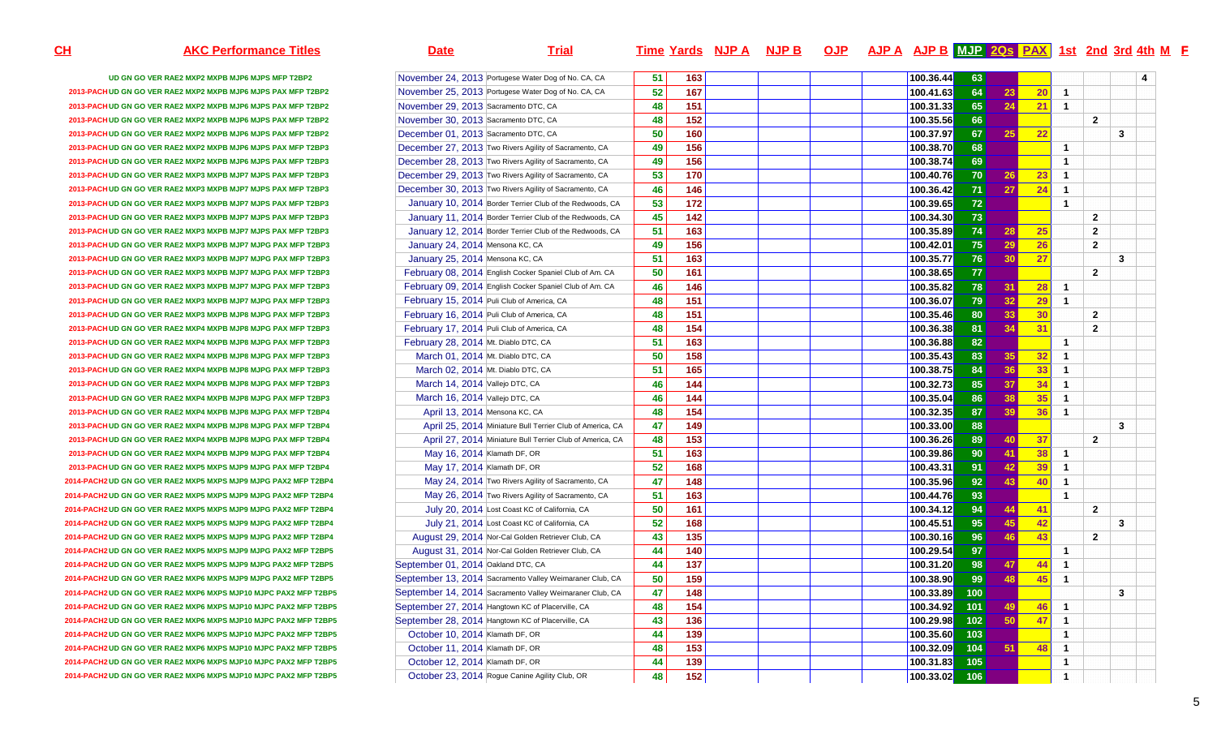| <u>SH</u> | <b>AKC Performance Titles</b>                                    | <b>Date</b>                          | <b>Trial</b>                                              |                  |     | <u>Time Yards NJP A NJP B</u> |  | <u>OJP AJPA AJPB MUP 20 s PAX 1st 2nd 3rd 4th M F</u> |     |                 |    |                         |                |   |  |
|-----------|------------------------------------------------------------------|--------------------------------------|-----------------------------------------------------------|------------------|-----|-------------------------------|--|-------------------------------------------------------|-----|-----------------|----|-------------------------|----------------|---|--|
|           | UD GN GO VER RAE2 MXP2 MXPB MJP6 MJPS MFP T2BP2                  |                                      | November 24, 2013 Portugese Water Dog of No. CA, CA       | 51               | 163 |                               |  | 100.36.44                                             | 63  |                 |    |                         |                | 4 |  |
|           | 2013-PACH UD GN GO VER RAE2 MXP2 MXPB MJP6 MJPS PAX MFP T2BP2    |                                      | November 25, 2013 Portugese Water Dog of No. CA, CA       | 52               | 167 |                               |  | 100.41.63                                             | 64  | 23              | 20 | -1                      |                |   |  |
|           | 2013-PACH UD GN GO VER RAE2 MXP2 MXPB MJP6 MJPS PAX MFP T2BP2    | November 29, 2013 Sacramento DTC, CA |                                                           | $\overline{48}'$ | 151 |                               |  | 100.31.33                                             | 65  | 24              | 21 | $\overline{1}$          |                |   |  |
|           | 2013-PACHUD GN GO VER RAE2 MXP2 MXPB MJP6 MJPS PAX MFP T2BP2     | November 30, 2013 Sacramento DTC, CA |                                                           | 48               | 152 |                               |  | 100.35.56                                             | 66  |                 |    |                         | $\overline{2}$ |   |  |
|           | 2013-PACHUD GN GO VER RAE2 MXP2 MXPB MJP6 MJPS PAX MFP T2BP2     | December 01, 2013 Sacramento DTC, CA |                                                           | 50               | 160 |                               |  | 100.37.97                                             | 67  |                 | 22 |                         |                | 3 |  |
|           | 2013-PACH UD GN GO VER RAE2 MXP2 MXPB MJP6 MJPS PAX MFP T2BP3    |                                      | December 27, 2013 Two Rivers Agility of Sacramento, CA    | 49               | 156 |                               |  | 100.38.70                                             | 68  |                 |    | $\overline{1}$          |                |   |  |
|           | 2013-PACH UD GN GO VER RAE2 MXP2 MXPB MJP6 MJPS PAX MFP T2BP3    |                                      | December 28, 2013 Two Rivers Agility of Sacramento, CA    | 49               | 156 |                               |  | 100.38.74                                             | 69  |                 |    | $\overline{1}$          |                |   |  |
|           | 2013-PACHUD GN GO VER RAE2 MXP3 MXPB MJP7 MJPS PAX MFP T2BP3     |                                      | December 29, 2013 Two Rivers Agility of Sacramento, CA    | 53               | 170 |                               |  | 100.40.76                                             | 70  | 26              | 23 | -1                      |                |   |  |
|           | 2013-PACHUD GN GO VER RAE2 MXP3 MXPB MJP7 MJPS PAX MFP T2BP3     |                                      | December 30, 2013 Two Rivers Agility of Sacramento, CA    | 46               | 146 |                               |  | 100.36.42                                             | 71  | 27              | 24 | $\overline{1}$          |                |   |  |
|           | 2013-PACHUD GN GO VER RAE2 MXP3 MXPB MJP7 MJPS PAX MFP T2BP3     |                                      | January 10, 2014 Border Terrier Club of the Redwoods, CA  | 53               | 172 |                               |  | 100.39.65                                             | 72  |                 |    | $\overline{1}$          |                |   |  |
|           | 2013-PACH UD GN GO VER RAE2 MXP3 MXPB MJP7 MJPS PAX MFP T2BP3    |                                      | January 11, 2014 Border Terrier Club of the Redwoods, CA  | 45               | 142 |                               |  | 100.34.30                                             | 73  |                 |    |                         | $\overline{2}$ |   |  |
|           | 2013-PACH UD GN GO VER RAE2 MXP3 MXPB MJP7 MJPS PAX MFP T2BP3    |                                      | January 12, 2014 Border Terrier Club of the Redwoods, CA  | 51               | 163 |                               |  | 100.35.89                                             | 74  | 28              | 25 |                         | $\overline{2}$ |   |  |
|           | 2013-PACHUD GN GO VER RAE2 MXP3 MXPB MJP7 MJPG PAX MFP T2BP3     | January 24, 2014 Mensona KC, CA      |                                                           | 49               | 156 |                               |  | 100.42.01                                             | 75  | 29              | 26 |                         | $\overline{2}$ |   |  |
|           | 2013-PACHUD GN GO VER RAE2 MXP3 MXPB MJP7 MJPG PAX MFP T2BP3     | January 25, 2014 Mensona KC, CA      |                                                           | 51               | 163 |                               |  | 100.35.77                                             | 76  | 30              | 27 |                         |                | 3 |  |
|           | 2013-PACHUD GN GO VER RAE2 MXP3 MXPB MJP7 MJPG PAX MFP T2BP3     |                                      | February 08, 2014 English Cocker Spaniel Club of Am. CA   | 50               | 161 |                               |  | 100.38.65                                             | 77  |                 |    |                         | $\overline{2}$ |   |  |
|           | 2013-PACHUD GN GO VER RAE2 MXP3 MXPB MJP7 MJPG PAX MFP T2BP3     |                                      | February 09, 2014 English Cocker Spaniel Club of Am. CA   | 46               | 146 |                               |  | 100.35.82                                             | 78  | 31.             | 28 | $\overline{1}$          |                |   |  |
|           | 2013-PACHUD GN GO VER RAE2 MXP3 MXPB MJP7 MJPG PAX MFP T2BP3     |                                      | February 15, 2014 Puli Club of America, CA                | 48               | 151 |                               |  | 100.36.07                                             | 79  | 32              | 29 | $\overline{1}$          |                |   |  |
|           | 2013-PACHUD GN GO VER RAE2 MXP3 MXPB MJP8 MJPG PAX MFP T2BP3     |                                      | February 16, 2014 Puli Club of America, CA                | 48               | 151 |                               |  | 100.35.46                                             | 80  | 33              | 30 |                         | $\overline{2}$ |   |  |
|           | 2013-PACHUD GN GO VER RAE2 MXP4 MXPB MJP8 MJPG PAX MFP T2BP3     |                                      | February 17, 2014 Puli Club of America, CA                | 48               | 154 |                               |  | 100.36.38                                             | 81  | 34              | 31 |                         | $\overline{2}$ |   |  |
|           | 2013-PACH UD GN GO VER RAE2 MXP4 MXPB MJP8 MJPG PAX MFP T2BP3    | February 28, 2014 Mt. Diablo DTC, CA |                                                           | 51               | 163 |                               |  | 100.36.88                                             | 82  |                 |    | $\overline{1}$          |                |   |  |
|           | 2013-PACHUD GN GO VER RAE2 MXP4 MXPB MJP8 MJPG PAX MFP T2BP3     | March 01, 2014 Mt. Diablo DTC, CA    |                                                           | 50               | 158 |                               |  | 100.35.43                                             | 83  | 35 <sub>1</sub> | 32 | $\overline{\mathbf{1}}$ |                |   |  |
|           | 2013-PACH UD GN GO VER RAE2 MXP4 MXPB MJP8 MJPG PAX MFP T2BP3    |                                      | March 02, 2014 Mt. Diablo DTC, CA                         | 51               | 165 |                               |  | 100.38.75                                             | 84  | 36              | 33 | $\overline{1}$          |                |   |  |
|           | 2013-PACHUD GN GO VER RAE2 MXP4 MXPB MJP8 MJPG PAX MFP T2BP3     | March 14, 2014 Vallejo DTC, CA       |                                                           | 46               | 144 |                               |  | 100.32.73                                             | 85  | 37              | 34 | $\overline{1}$          |                |   |  |
|           | 2013-PACH UD GN GO VER RAE2 MXP4 MXPB MJP8 MJPG PAX MFP T2BP3    | March 16, 2014 Vallejo DTC, CA       |                                                           | 46               | 144 |                               |  | 100.35.04                                             | 86  | 38              | 35 | $\overline{1}$          |                |   |  |
|           | 2013-PACHUD GN GO VER RAE2 MXP4 MXPB MJP8 MJPG PAX MFP T2BP4     | April 13, 2014 Mensona KC, CA        |                                                           | 48               | 154 |                               |  | 100.32.35                                             | 87  | 39              | 36 | $\overline{\mathbf{1}}$ |                |   |  |
|           | 2013-PACHUD GN GO VER RAE2 MXP4 MXPB MJP8 MJPG PAX MFP T2BP4     |                                      | April 25, 2014 Miniature Bull Terrier Club of America, CA | 47               | 149 |                               |  | 100.33.00                                             | 88  |                 |    |                         |                | 3 |  |
|           | 2013-PACHUD GN GO VER RAE2 MXP4 MXPB MJP8 MJPG PAX MFP T2BP4     |                                      | April 27, 2014 Miniature Bull Terrier Club of America, CA | 48               | 153 |                               |  | 100.36.26                                             | 89  | 40              | 37 |                         | $\overline{2}$ |   |  |
|           | 2013-PACH UD GN GO VER RAE2 MXP4 MXPB MJP9 MJPG PAX MFP T2BP4    | May 16, 2014 Klamath DF, OR          |                                                           | 51               | 163 |                               |  | 100.39.86                                             | 90  |                 | 38 | $\mathbf 1$             |                |   |  |
|           | 2013-PACH UD GN GO VER RAE2 MXP5 MXPS MJP9 MJPG PAX MFP T2BP4    | May 17, 2014 Klamath DF, OR          |                                                           | 52               | 168 |                               |  | 100.43.31                                             | 91  | 42              | 39 | $\overline{\mathbf{1}}$ |                |   |  |
|           | 2014-PACH2 UD GN GO VER RAE2 MXP5 MXPS MJP9 MJPG PAX2 MFP T2BP4  |                                      | May 24, 2014 Two Rivers Agility of Sacramento, CA         | 47               | 148 |                               |  | 100.35.96                                             | 92  | 43              | 40 | $\overline{1}$          |                |   |  |
|           | 2014-PACH2 UD GN GO VER RAE2 MXP5 MXPS MJP9 MJPG PAX2 MFP T2BP4  |                                      | May 26, 2014 Two Rivers Agility of Sacramento, CA         | 51               | 163 |                               |  | 100.44.76                                             | 93  |                 |    | $\overline{1}$          |                |   |  |
|           | 2014-PACH2 UD GN GO VER RAE2 MXP5 MXPS MJP9 MJPG PAX2 MFP T2BP4  |                                      | July 20, 2014 Lost Coast KC of California, CA             | 50               | 161 |                               |  | 100.34.12                                             | 94  |                 | 41 |                         | $\overline{2}$ |   |  |
|           | 2014-PACH2 UD GN GO VER RAE2 MXP5 MXPS MJP9 MJPG PAX2 MFP T2BP4  |                                      | July 21, 2014 Lost Coast KC of California, CA             | 52               | 168 |                               |  | 100.45.51                                             | 95  | 45              | 42 |                         |                | 3 |  |
|           | 2014-PACH2 UD GN GO VER RAE2 MXP5 MXPS MJP9 MJPG PAX2 MFP T2BP4  |                                      | August 29, 2014 Nor-Cal Golden Retriever Club, CA         | 43               | 135 |                               |  | 100.30.16                                             | 96  | 46              | 43 |                         | $\overline{2}$ |   |  |
|           | 2014-PACH2 UD GN GO VER RAE2 MXP5 MXPS MJP9 MJPG PAX2 MFP T2BP5  |                                      | August 31, 2014 Nor-Cal Golden Retriever Club, CA         | 44               | 140 |                               |  | 100.29.54                                             | 97  |                 |    | $\mathbf{1}$            |                |   |  |
|           | 2014-PACH2 UD GN GO VER RAE2 MXP5 MXPS MJP9 MJPG PAX2 MFP T2BP5  | September 01, 2014 Oakland DTC, CA   |                                                           | 44               | 137 |                               |  | 100.31.20                                             | 98  | 47              | 44 | $\overline{1}$          |                |   |  |
|           | 2014-PACH2 UD GN GO VER RAE2 MXP6 MXPS MJP9 MJPG PAX2 MFP T2BP5  |                                      | September 13, 2014 Sacramento Valley Weimaraner Club, CA  | 50               | 159 |                               |  | 100.38.90                                             | 99  | 48              | 45 | $\overline{\mathbf{1}}$ |                |   |  |
|           | 2014-PACH2 UD GN GO VER RAE2 MXP6 MXPS MJP10 MJPC PAX2 MFP T2BP5 |                                      | September 14, 2014 Sacramento Valley Weimaraner Club, CA  | 47               | 148 |                               |  | 100.33.89                                             | 100 |                 |    |                         |                | 3 |  |
|           | 2014-PACH2 UD GN GO VER RAE2 MXP6 MXPS MJP10 MJPC PAX2 MFP T2BP5 |                                      | September 27, 2014 Hangtown KC of Placerville, CA         | 48               | 154 |                               |  | 100.34.92                                             | 101 | 49              | 46 | $\overline{1}$          |                |   |  |
|           | 2014-PACH2 UD GN GO VER RAE2 MXP6 MXPS MJP10 MJPC PAX2 MFP T2BP5 |                                      | September 28, 2014 Hangtown KC of Placerville, CA         | 43               | 136 |                               |  | 100.29.98                                             | 102 | 50              | 47 | $\overline{1}$          |                |   |  |
|           | 2014-PACH2 UD GN GO VER RAE2 MXP6 MXPS MJP10 MJPC PAX2 MFP T2BP5 | October 10, 2014 Klamath DF, OR      |                                                           | 44               | 139 |                               |  | 100.35.60                                             | 103 |                 |    | $\overline{1}$          |                |   |  |
|           | 2014-PACH2 UD GN GO VER RAE2 MXP6 MXPS MJP10 MJPC PAX2 MFP T2BP5 | October 11, 2014 Klamath DF, OR      |                                                           | 48               | 153 |                               |  | 100.32.09                                             | 104 | 51              | 48 | -1                      |                |   |  |
|           | 2014-PACH2 UD GN GO VER RAE2 MXP6 MXPS MJP10 MJPC PAX2 MFP T2BP5 | October 12, 2014 Klamath DF, OR      |                                                           | 44               | 139 |                               |  | 100.31.83                                             | 105 |                 |    | -1                      |                |   |  |
|           | 2014-PACH2 UD GN GO VER RAE2 MXP6 MXPS MJP10 MJPC PAX2 MFP T2BP5 |                                      | October 23, 2014 Rogue Canine Agility Club, OR            | 48               | 152 |                               |  | $100.33.02$ 106                                       |     |                 |    |                         |                |   |  |
|           |                                                                  |                                      |                                                           |                  |     |                               |  |                                                       |     |                 |    |                         |                |   |  |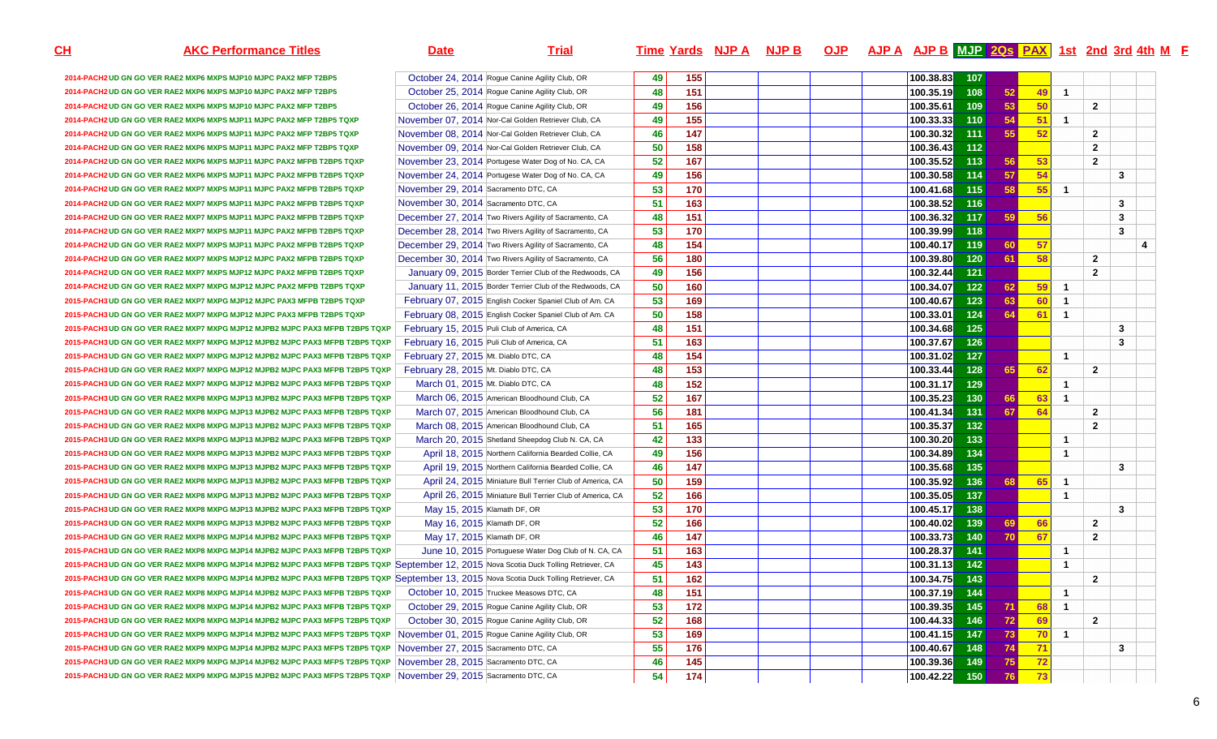| <u>СН</u><br><b>AKC Performance Titles</b>                                                                                             | <b>Date</b>                                               | <b>Trial</b> |    |                 | Time Yards NJP A NJP B |  | OJP AJP A AJP B MJP 2Qs PAX 1st 2nd 3rd 4th M F |       |           |                 |                         |                |              |  |
|----------------------------------------------------------------------------------------------------------------------------------------|-----------------------------------------------------------|--------------|----|-----------------|------------------------|--|-------------------------------------------------|-------|-----------|-----------------|-------------------------|----------------|--------------|--|
| 2014-PACH2 UD GN GO VER RAE2 MXP6 MXPS MJP10 MJPC PAX2 MFP T2BP5                                                                       | October 24, 2014 Rogue Canine Agility Club, OR            |              | 49 | 155             |                        |  | 100.38.83                                       | 107   |           |                 |                         |                |              |  |
| 2014-PACH2 UD GN GO VER RAE2 MXP6 MXPS MJP10 MJPC PAX2 MFP T2BP5                                                                       | October 25, 2014 Rogue Canine Agility Club, OR            |              | 48 | 151             |                        |  | 100.35.19                                       | 108   | 52        | 49              | $\overline{1}$          |                |              |  |
| 2014-PACH2 UD GN GO VER RAE2 MXP6 MXPS MJP10 MJPC PAX2 MFP T2BP5                                                                       | October 26, 2014 Rogue Canine Agility Club, OR            |              | 49 | $\frac{156}{ }$ |                        |  | 100.35.61                                       | 109   | 53        | 50              |                         | $\overline{2}$ |              |  |
| 2014-PACH2 UD GN GO VER RAE2 MXP6 MXPS MJP11 MJPC PAX2 MFP T2BP5 TQXP                                                                  | November 07, 2014 Nor-Cal Golden Retriever Club, CA       |              | 49 | 155             |                        |  | 100.33.33                                       | 110   | 54        | 51              | $\overline{\mathbf{1}}$ |                |              |  |
| 2014-PACH2 UD GN GO VER RAE2 MXP6 MXPS MJP11 MJPC PAX2 MFP T2BP5 TQXP                                                                  | November 08, 2014 Nor-Cal Golden Retriever Club, CA       |              | 46 | 147             |                        |  | 100.30.32                                       | $111$ | 55        | 52              |                         | $\overline{2}$ |              |  |
| 2014-PACH2 UD GN GO VER RAE2 MXP6 MXPS MJP11 MJPC PAX2 MFP T2BP5 TQXP                                                                  | November 09, 2014 Nor-Cal Golden Retriever Club, CA       |              | 50 | 158             |                        |  | 100.36.43                                       | $112$ |           |                 |                         | $\overline{2}$ |              |  |
| 2014-PACH2 UD GN GO VER RAE2 MXP6 MXPS MJP11 MJPC PAX2 MFPB T2BP5 TQXP                                                                 | November 23, 2014 Portugese Water Dog of No. CA, CA       |              | 52 | 167             |                        |  | 100.35.52                                       | 113   | 56        | 53              |                         | $\overline{2}$ |              |  |
| 2014-PACH2 UD GN GO VER RAE2 MXP6 MXPS MJP11 MJPC PAX2 MFPB T2BP5 TQXP                                                                 | November 24, 2014 Portugese Water Dog of No. CA, CA       |              | 49 | 156             |                        |  | 100.30.58                                       | 114   | 57        | 54              |                         |                | 3            |  |
| 2014-PACH2 UD GN GO VER RAE2 MXP7 MXPS MJP11 MJPC PAX2 MFPB T2BP5 TQXP                                                                 | November 29, 2014 Sacramento DTC, CA                      |              | 53 | 170             |                        |  | 100.41.68                                       | 115   | 58        | 55              | -1                      |                |              |  |
| 2014-PACH2 UD GN GO VER RAE2 MXP7 MXPS MJP11 MJPC PAX2 MFPB T2BP5 TQXP                                                                 | November 30, 2014 Sacramento DTC, CA                      |              | 51 | 163             |                        |  | 100.38.52                                       | 116   |           |                 |                         |                | $\mathbf{3}$ |  |
| 2014-PACH2 UD GN GO VER RAE2 MXP7 MXPS MJP11 MJPC PAX2 MFPB T2BP5 TQXP                                                                 | December 27, 2014 Two Rivers Agility of Sacramento, CA    |              | 48 | 151             |                        |  | 100.36.32                                       | 117   | 59        | 56              |                         |                | $\mathbf{3}$ |  |
| 2014-PACH2 UD GN GO VER RAE2 MXP7 MXPS MJP11 MJPC PAX2 MFPB T2BP5 TQXP                                                                 | December 28, 2014 Two Rivers Agility of Sacramento, CA    |              | 53 | 170             |                        |  | 100.39.99                                       | 118   |           |                 |                         |                | 3            |  |
| 2014-PACH2 UD GN GO VER RAE2 MXP7 MXPS MJP11 MJPC PAX2 MFPB T2BP5 TQXP                                                                 | December 29, 2014 Two Rivers Agility of Sacramento, CA    |              | 48 | 154             |                        |  | 100.40.17                                       | 119   | 60        | 57              |                         |                |              |  |
| 2014-PACH2 UD GN GO VER RAE2 MXP7 MXPS MJP12 MJPC PAX2 MFPB T2BP5 TQXP                                                                 | December 30, 2014 Two Rivers Agility of Sacramento, CA    |              | 56 | 180             |                        |  | 100.39.80                                       | 120   | 61        | 58              |                         | $\overline{2}$ |              |  |
| 2014-PACH2 UD GN GO VER RAE2 MXP7 MXPS MJP12 MJPC PAX2 MFPB T2BP5 TQXP                                                                 | January 09, 2015 Border Terrier Club of the Redwoods, CA  |              | 49 | 156             |                        |  | 100.32.44                                       | $121$ |           |                 |                         | $\overline{2}$ |              |  |
| 2014-PACH2 UD GN GO VER RAE2 MXP7 MXPG MJP12 MJPC PAX2 MFPB T2BP5 TQXP                                                                 | January 11, 2015 Border Terrier Club of the Redwoods, CA  |              | 50 | 160             |                        |  | 100.34.07                                       | 122   | 62        | 59              | -1                      |                |              |  |
| 2015-PACH3 UD GN GO VER RAE2 MXP7 MXPG MJP12 MJPC PAX3 MFPB T2BP5 TQXP                                                                 | February 07, 2015 English Cocker Spaniel Club of Am. CA   |              | 53 | 169             |                        |  | 100.40.67                                       | $123$ | 63        | 60              | $\overline{1}$          |                |              |  |
| 2015-PACH3 UD GN GO VER RAE2 MXP7 MXPG MJP12 MJPC PAX3 MFPB T2BP5 TQXP                                                                 | February 08, 2015 English Cocker Spaniel Club of Am. CA   |              | 50 | 158             |                        |  | 100.33.01                                       | $124$ | 64        | 61              | $\overline{\mathbf{1}}$ |                |              |  |
| 2015-PACH3 UD GN GO VER RAE2 MXP7 MXPG MJP12 MJPB2 MJPC PAX3 MFPB T2BP5 TQXP                                                           | February 15, 2015 Puli Club of America, CA                |              | 48 | 151             |                        |  | 100.34.68                                       | 125   |           |                 |                         |                | $\mathbf{3}$ |  |
| 2015-PACH3 UD GN GO VER RAE2 MXP7 MXPG MJP12 MJPB2 MJPC PAX3 MFPB T2BP5 TQXP                                                           | February 16, 2015 Puli Club of America, CA                |              | 51 | 163             |                        |  | 100.37.67                                       | 126   |           |                 |                         |                | $\mathbf{3}$ |  |
| 2015-PACH3 UD GN GO VER RAE2 MXP7 MXPG MJP12 MJPB2 MJPC PAX3 MFPB T2BP5 TQXP                                                           | February 27, 2015 Mt. Diablo DTC, CA                      |              | 48 | 154             |                        |  | 100.31.02                                       | 127   |           |                 | -1                      |                |              |  |
| 2015-PACH3 UD GN GO VER RAE2 MXP7 MXPG MJP12 MJPB2 MJPC PAX3 MFPB T2BP5 TQXP                                                           | February 28, 2015 Mt. Diablo DTC, CA                      |              | 48 | 153             |                        |  | 100.33.44                                       | 128   | 65        | 62              |                         | $\overline{2}$ |              |  |
| 2015-PACH3 UD GN GO VER RAE2 MXP7 MXPG MJP12 MJPB2 MJPC PAX3 MFPB T2BP5 TQXP                                                           | March 01, 2015 Mt. Diablo DTC, CA                         |              | 48 | 152             |                        |  | 100.31.17                                       | 129   |           |                 | -1                      |                |              |  |
| 2015-PACH3 UD GN GO VER RAE2 MXP8 MXPG MJP13 MJPB2 MJPC PAX3 MFPB T2BP5 TQXP                                                           | March 06, 2015 American Bloodhound Club, CA               |              | 52 | 167             |                        |  | 100.35.23                                       | 130   | <b>66</b> | 63              | -1                      |                |              |  |
| 2015-PACH3 UD GN GO VER RAE2 MXP8 MXPG MJP13 MJPB2 MJPC PAX3 MFPB T2BP5 TQXP                                                           | March 07, 2015 American Bloodhound Club, CA               |              | 56 | 181             |                        |  | 100.41.34                                       | 131   | 67        | 64              |                         | $\overline{2}$ |              |  |
| 2015-PACH3 UD GN GO VER RAE2 MXP8 MXPG MJP13 MJPB2 MJPC PAX3 MFPB T2BP5 TQXP                                                           | March 08, 2015 American Bloodhound Club, CA               |              | 51 | 165             |                        |  | 100.35.37                                       | $132$ |           |                 |                         | $\overline{2}$ |              |  |
| 2015-PACH3 UD GN GO VER RAE2 MXP8 MXPG MJP13 MJPB2 MJPC PAX3 MFPB T2BP5 TQXP                                                           | March 20, 2015 Shetland Sheepdog Club N. CA, CA           |              | 42 | 133             |                        |  | 100.30.20                                       | 133   |           |                 | -1                      |                |              |  |
| 2015-PACH3 UD GN GO VER RAE2 MXP8 MXPG MJP13 MJPB2 MJPC PAX3 MFPB T2BP5 TQXP                                                           | April 18, 2015 Northern California Bearded Collie, CA     |              | 49 | $\frac{156}{ }$ |                        |  | 100.34.89                                       | 134   |           |                 | -1                      |                |              |  |
| 2015-PACH3 UD GN GO VER RAE2 MXP8 MXPG MJP13 MJPB2 MJPC PAX3 MFPB T2BP5 TQXP                                                           | April 19, 2015 Northern California Bearded Collie, CA     |              | 46 | 147             |                        |  | 100.35.68                                       | 135   |           |                 |                         |                | $\mathbf{3}$ |  |
| 2015-PACH3 UD GN GO VER RAE2 MXP8 MXPG MJP13 MJPB2 MJPC PAX3 MFPB T2BP5 TQXP                                                           | April 24, 2015 Miniature Bull Terrier Club of America, CA |              | 50 | 159             |                        |  | 100.35.92                                       | 136   | <b>68</b> | <b>65</b>       | $\overline{1}$          |                |              |  |
| 2015-PACH3 UD GN GO VER RAE2 MXP8 MXPG MJP13 MJPB2 MJPC PAX3 MFPB T2BP5 TQXP                                                           | April 26, 2015 Miniature Bull Terrier Club of America, CA |              | 52 | 166             |                        |  | 100.35.05                                       | 137   |           |                 | $\overline{\mathbf{1}}$ |                |              |  |
| 2015-PACH3 UD GN GO VER RAE2 MXP8 MXPG MJP13 MJPB2 MJPC PAX3 MFPB T2BP5 TQXP                                                           | May 15, 2015 Klamath DF, OR                               |              | 53 | 170             |                        |  | 100.45.17                                       | 138   |           |                 |                         |                | $\mathbf{3}$ |  |
| 2015-PACH3 UD GN GO VER RAE2 MXP8 MXPG MJP13 MJPB2 MJPC PAX3 MFPB T2BP5 TQXP                                                           | May 16, 2015 Klamath DF, OR                               |              | 52 | 166             |                        |  | 100.40.02                                       | 139   | <b>69</b> | 66              |                         | $\overline{2}$ |              |  |
| 2015-PACH3 UD GN GO VER RAE2 MXP8 MXPG MJP14 MJPB2 MJPC PAX3 MFPB T2BP5 TQXP                                                           | May 17, 2015 Klamath DF, OR                               |              | 46 | 147             |                        |  | 100.33.73                                       | 140   | 70        | 67              |                         | $\overline{2}$ |              |  |
| 2015-PACH3 UD GN GO VER RAE2 MXP8 MXPG MJP14 MJPB2 MJPC PAX3 MFPB T2BP5 TQXP                                                           | June 10, 2015 Portuguese Water Dog Club of N. CA, CA      |              | 51 | 163             |                        |  | 100.28.37                                       | 141   |           |                 | $\overline{\mathbf{1}}$ |                |              |  |
| 2015-PACH3 UD GN GO VER RAE2 MXP8 MXPG MJP14 MJPB2 MJPC PAX3 MFPB T2BP5 TQXP September 12, 2015 Nova Scotia Duck Tolling Retriever, CA |                                                           |              | 45 | 143             |                        |  | 100.31.13                                       | $142$ |           |                 | -1                      |                |              |  |
| 2015-PACH3 UD GN GO VER RAE2 MXP8 MXPG MJP14 MJPB2 MJPC PAX3 MFPB T2BP5 TQXP September 13, 2015 Nova Scotia Duck Tolling Retriever, CA |                                                           |              | 51 | 162             |                        |  | 100.34.75                                       | 143   |           |                 |                         | $\overline{2}$ |              |  |
| 2015-PACH3 UD GN GO VER RAE2 MXP8 MXPG MJP14 MJPB2 MJPC PAX3 MFPB T2BP5 TQXP                                                           | October 10, 2015 Truckee Measows DTC, CA                  |              | 48 | 151             |                        |  | 100.37.19                                       | 144   |           |                 | -1                      |                |              |  |
| 2015-PACH3 UD GN GO VER RAE2 MXP8 MXPG MJP14 MJPB2 MJPC PAX3 MFPB T2BP5 TQXP                                                           | October 29, 2015 Rogue Canine Agility Club, OR            |              | 53 | 172             |                        |  | 100.39.35                                       | 145   | 71        | 68              | $\overline{1}$          |                |              |  |
| 2015-PACH3 UD GN GO VER RAE2 MXP8 MXPG MJP14 MJPB2 MJPC PAX3 MFPS T2BP5 TQXP                                                           | October 30, 2015 Rogue Canine Agility Club, OR            |              | 52 | 168             |                        |  | 100.44.33                                       | 146   | 72        | 69              |                         | $\overline{2}$ |              |  |
| 2015-PACH3 UD GN GO VER RAE2 MXP9 MXPG MJP14 MJPB2 MJPC PAX3 MFPS T2BP5 TQXP                                                           | November 01, 2015 Rogue Canine Agility Club, OR           |              | 53 | 169             |                        |  | 100.41.15                                       | 147   | 73        | 70 <sub>l</sub> | -1                      |                |              |  |
| 2015-PACH3 UD GN GO VER RAE2 MXP9 MXPG MJP14 MJPB2 MJPC PAX3 MFPS T2BP5 TQXP                                                           | November 27, 2015 Sacramento DTC, CA                      |              | 55 | $\frac{1}{176}$ |                        |  | 100.40.67                                       | 148   | 74        | 71              |                         |                | 3            |  |
| 2015-PACH3 UD GN GO VER RAE2 MXP9 MXPG MJP14 MJPB2 MJPC PAX3 MFPS T2BP5 TQXP                                                           | November 28, 2015 Sacramento DTC, CA                      |              | 46 | 145             |                        |  | 100.39.36                                       | 149   | 75        | 72              |                         |                |              |  |
| 2015-PACH3 UD GN GO VER RAE2 MXP9 MXPG MJP15 MJPB2 MJPC PAX3 MFPS T2BP5 TQXP                                                           | November 29, 2015 Sacramento DTC, CA                      |              | 54 | 174             |                        |  | $ 100.42.22 $ 150                               |       | 76        | 73              |                         |                |              |  |

6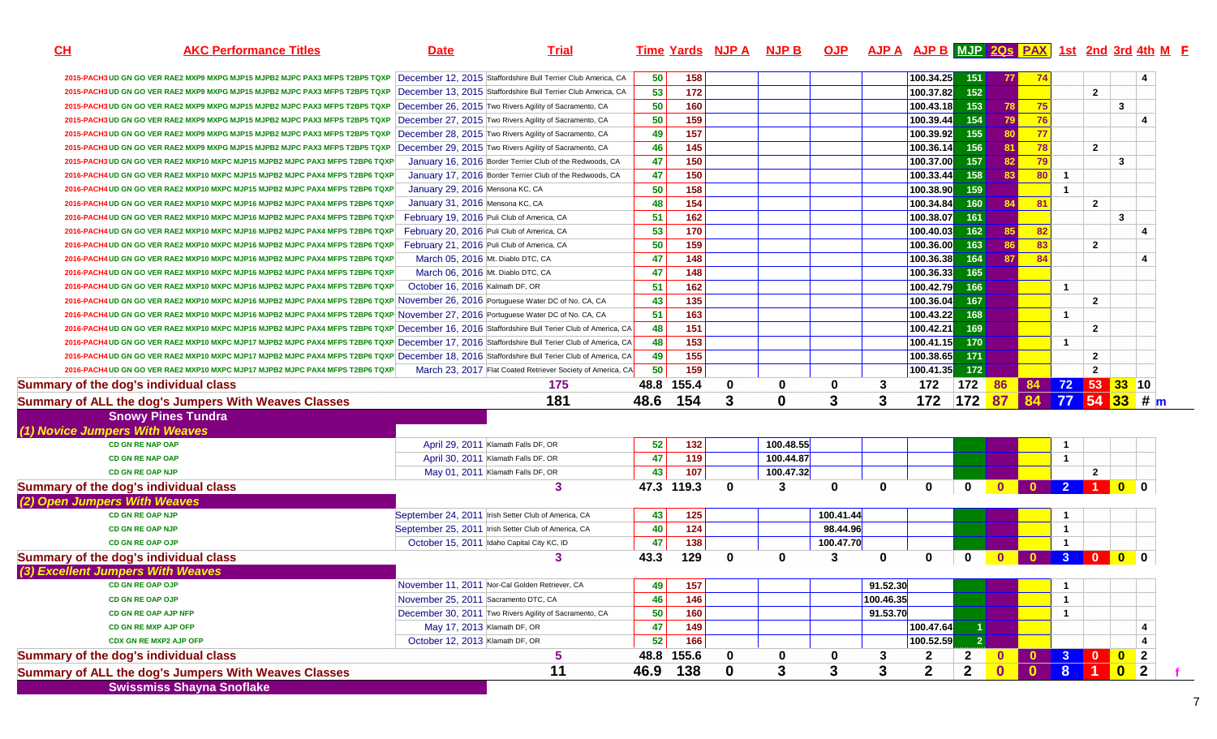|                                                                | <b>AKC Performance Titles</b>                                                                                                                 | <b>Date</b>                          | <b>Trial</b>                                                  |            | Time Yards NJP A NJP B OJP AJP A AJP B MJP 20s PAX 1st 2nd 3rd 4th M F |             |              |           |             |             |                |              |                 |                  |                 |                                 |                  |
|----------------------------------------------------------------|-----------------------------------------------------------------------------------------------------------------------------------------------|--------------------------------------|---------------------------------------------------------------|------------|------------------------------------------------------------------------|-------------|--------------|-----------|-------------|-------------|----------------|--------------|-----------------|------------------|-----------------|---------------------------------|------------------|
|                                                                | 2015-PACH3 UD GN GO VER RAE2 MXP9 MXPG MJP15 MJPB2 MJPC PAX3 MFPS T2BP5 TQXP                                                                  |                                      | December 12, 2015 Staffordshire Bull Terrier Club America, CA | 50         | 158                                                                    |             |              |           |             | 100.34.25   | 151            |              | 74              |                  |                 |                                 |                  |
|                                                                | 2015-PACH3 UD GN GO VER RAE2 MXP9 MXPG MJP15 MJPB2 MJPC PAX3 MFPS T2BP5 TQXP                                                                  |                                      | December 13, 2015 Staffordshire Bull Terrier Club America, CA | 53         | $\frac{1}{172}$                                                        |             |              |           |             | 100.37.82   | 152            |              |                 |                  | $\overline{2}$  |                                 |                  |
|                                                                | 2015-PACH3 UD GN GO VER RAE2 MXP9 MXPG MJP15 MJPB2 MJPC PAX3 MFPS T2BP5 TQXP                                                                  |                                      | December 26, 2015 Two Rivers Agility of Sacramento, CA        | 50         | 160                                                                    |             |              |           |             | 100.43.18   | $153$          | 78           | 75              |                  |                 | 3                               |                  |
|                                                                | 2015-PACH3 UD GN GO VER RAE2 MXP9 MXPG MJP15 MJPB2 MJPC PAX3 MFPS T2BP5 TQXP                                                                  |                                      | December 27, 2015 Two Rivers Agility of Sacramento, CA        | 50         | 159                                                                    |             |              |           |             | 100.39.44   | 154            | 79           | $-76$           |                  |                 |                                 |                  |
|                                                                | 2015-PACH3 UD GN GO VER RAE2 MXP9 MXPG MJP15 MJPB2 MJPC PAX3 MFPS T2BP5 TQXP                                                                  |                                      | December 28, 2015 Two Rivers Agility of Sacramento, CA        | 49         | 157                                                                    |             |              |           |             | 100.39.92   | 155            | <b>80</b>    | $\overline{77}$ |                  |                 |                                 |                  |
|                                                                | 2015-PACH3 UD GN GO VER RAE2 MXP9 MXPG MJP15 MJPB2 MJPC PAX3 MFPS T2BP5 TQXP                                                                  |                                      | December 29, 2015 Two Rivers Agility of Sacramento, CA        | 46         | 145                                                                    |             |              |           |             | 100.36.14   | 156            | 81           | 78              |                  | $\overline{2}$  |                                 |                  |
|                                                                | 2015-PACH3 UD GN GO VER RAE2 MXP10 MXPC MJP15 MJPB2 MJPC PAX3 MFPS T2BP6 TQXP                                                                 |                                      | January 16, 2016 Border Terrier Club of the Redwoods, CA      | 47         | 150                                                                    |             |              |           |             | 100.37.00   | 157            | 82           | 79              |                  |                 | $\mathbf{3}$                    |                  |
|                                                                | 2016-PACH4 UD GN GO VER RAE2 MXP10 MXPC MJP15 MJPB2 MJPC PAX4 MFPS T2BP6 TQXP                                                                 |                                      | January 17, 2016 Border Terrier Club of the Redwoods, CA      | 47         | 150                                                                    |             |              |           |             | 100.33.44   | 158            | 83           | 80              | $\mathbf{1}$     |                 |                                 |                  |
|                                                                | 2016-PACH4 UD GN GO VER RAE2 MXP10 MXPC MJP15 MJPB2 MJPC PAX4 MFPS T2BP6 TQXP                                                                 | January 29, 2016 Mensona KC, CA      |                                                               | 50         | 158                                                                    |             |              |           |             | 100.38.90   | 159            |              |                 | $\mathbf{1}$     |                 |                                 |                  |
|                                                                | 2016-PACH4 UD GN GO VER RAE2 MXP10 MXPC MJP16 MJPB2 MJPC PAX4 MFPS T2BP6 TQXP                                                                 | January 31, 2016 Mensona KC, CA      |                                                               | 48         | 154                                                                    |             |              |           |             | 100.34.84   | 160            | 84           | $-81$           |                  | $\mathbf{2}$    |                                 |                  |
|                                                                | 2016-PACH4 UD GN GO VER RAE2 MXP10 MXPC MJP16 MJPB2 MJPC PAX4 MFPS T2BP6 TQXP                                                                 |                                      | February 19, 2016 Puli Club of America, CA                    | 51         | 162                                                                    |             |              |           |             | 100.38.07   | 161            |              |                 |                  |                 | 3                               |                  |
|                                                                | 2016-PACH4 UD GN GO VER RAE2 MXP10 MXPC MJP16 MJPB2 MJPC PAX4 MFPS T2BP6 TQXP                                                                 |                                      | February 20, 2016 Puli Club of America, CA                    | 53         | 170                                                                    |             |              |           |             | 100.40.03   | 162            | 85           | 82              |                  |                 |                                 |                  |
|                                                                | 2016-PACH4 UD GN GO VER RAE2 MXP10 MXPC MJP16 MJPB2 MJPC PAX4 MFPS T2BP6 TQXP                                                                 |                                      | February 21, 2016 Puli Club of America, CA                    | 50         | 159                                                                    |             |              |           |             | 100.36.00   | $163$          | 86           | 83              |                  | $\overline{2}$  |                                 |                  |
|                                                                | 2016-PACH4 UD GN GO VER RAE2 MXP10 MXPC MJP16 MJPB2 MJPC PAX4 MFPS T2BP6 TQXP                                                                 | March 05, 2016 Mt. Diablo DTC, CA    |                                                               | 47         | 148                                                                    |             |              |           |             | 100.36.38   | 164            | 87           | 84              |                  |                 |                                 |                  |
|                                                                | 2016-PACH4 UD GN GO VER RAE2 MXP10 MXPC MJP16 MJPB2 MJPC PAX4 MFPS T2BP6 TQXP                                                                 | March 06, 2016 Mt. Diablo DTC, CA    |                                                               | 47         | 148                                                                    |             |              |           |             | 100.36.33   | 165            |              |                 |                  |                 |                                 |                  |
|                                                                | 2016-PACH4 UD GN GO VER RAE2 MXP10 MXPC MJP16 MJPB2 MJPC PAX4 MFPS T2BP6 TQXP                                                                 | October 16, 2016 Kalmath DF, OR      |                                                               | 51         | 162                                                                    |             |              |           |             | 100.42.79   | 166            |              |                 | $\mathbf{1}$     |                 |                                 |                  |
|                                                                | 2016-PACH4 UD GN GO VER RAE2 MXP10 MXPC MJP16 MJPB2 MJPC PAX4 MFPS T2BP6 TQXP November 26, 2016 Portuguese Water DC of No. CA, CA             |                                      |                                                               | 43         | 135                                                                    |             |              |           |             | 100.36.04   | 167            |              |                 |                  | $\mathbf{2}$    |                                 |                  |
|                                                                | 2016-PACH4 UD GN GO VER RAE2 MXP10 MXPC MJP16 MJPB2 MJPC PAX4 MFPS T2BP6 TQXP November 27, 2016 Portuguese Water DC of No. CA, CA             |                                      |                                                               | 51         | 163                                                                    |             |              |           |             | 100.43.22   | 168            |              |                 | $\mathbf{1}$     |                 |                                 |                  |
|                                                                | 2016-PACH4 UD GN GO VER RAE2 MXP10 MXPC MJP16 MJPB2 MJPC PAX4 MFPS T2BP6 TQXP December 16, 2016 Staffordshire Bull Terier Club of America, CA |                                      |                                                               | 48         | 151                                                                    |             |              |           |             | 100.42.21   | 169            |              |                 |                  | $\overline{2}$  |                                 |                  |
|                                                                | 2016-PACH4 UD GN GO VER RAE2 MXP10 MXPC MJP17 MJPB2 MJPC PAX4 MFPS T2BP6 TQXP December 17, 2016 Staffordshire Bull Terier Club of America, CA |                                      |                                                               | 48         | 153                                                                    |             |              |           |             | 100.41.15   | 170            |              |                 | $\mathbf{1}$     |                 |                                 |                  |
|                                                                | 2016-PACH4 UD GN GO VER RAE2 MXP10 MXPC MJP17 MJPB2 MJPC PAX4 MFPS T2BP6 TQXP December 18, 2016 Staffordshire Bull Terier Club of America, CA |                                      |                                                               | 49         | 155                                                                    |             |              |           |             | 100.38.65   | 171            |              |                 |                  | $\mathbf{2}$    |                                 |                  |
|                                                                | 2016-PACH4 UD GN GO VER RAE2 MXP10 MXPC MJP17 MJPB2 MJPC PAX4 MFPS T2BP6 TQXP                                                                 |                                      | March 23, 2017 Flat Coated Retriever Society of America, CA   | 50         | 159                                                                    |             |              |           |             | 100.41.35   | 172            |              |                 |                  | $\mathbf{2}$    |                                 |                  |
|                                                                | <b>Summary of the dog's individual class</b>                                                                                                  |                                      | 175                                                           | 48.8       | 155.4                                                                  | $\mathbf 0$ | 0            | 0         | 3           | 172         | 172 86         |              |                 |                  | 84 72 53 33 10  |                                 |                  |
|                                                                |                                                                                                                                               |                                      |                                                               |            |                                                                        |             |              |           |             |             |                |              |                 |                  |                 |                                 |                  |
|                                                                | Summary of ALL the dog's Jumpers With Weaves Classes                                                                                          |                                      | 181                                                           | 48.6       | 154                                                                    | 3           | $\bf{0}$     | 3         | 3           | 172         | 172 87         |              |                 |                  | 84 77 54 33 # m |                                 |                  |
|                                                                | <b>Snowy Pines Tundra</b>                                                                                                                     |                                      |                                                               |            |                                                                        |             |              |           |             |             |                |              |                 |                  |                 |                                 |                  |
|                                                                |                                                                                                                                               |                                      |                                                               |            |                                                                        |             |              |           |             |             |                |              |                 |                  |                 |                                 |                  |
|                                                                | <b>CD GN RE NAP OAP</b>                                                                                                                       |                                      | April 29, 2011 Klamath Falls DF, OR                           | 52         | 132                                                                    |             | 100.48.55    |           |             |             |                |              |                 | $\mathbf 1$      |                 |                                 |                  |
|                                                                | <b>CD GN RE NAP OAP</b>                                                                                                                       |                                      | April 30, 2011 Klamath Falls DF, OR                           | 47         | 119                                                                    |             | 100.44.87    |           |             |             |                |              |                 | $\mathbf{1}$     |                 |                                 |                  |
|                                                                | <b>CD GN RE OAP NJP</b>                                                                                                                       |                                      | May 01, 2011 Klamath Falls DF, OR                             | 43         | 107                                                                    |             | 100.47.32    |           |             |             |                |              |                 |                  | $\overline{2}$  |                                 |                  |
|                                                                | <b>Summary of the dog's individual class</b>                                                                                                  |                                      | 3                                                             | 47.3 119.3 |                                                                        | $\mathbf 0$ | 3            | 0         | $\mathbf 0$ | $\mathbf 0$ | $\mathbf{0}$   | $\mathbf{0}$ |                 | $\overline{2}$   |                 |                                 |                  |
|                                                                |                                                                                                                                               |                                      |                                                               |            |                                                                        |             |              |           |             |             |                |              |                 |                  |                 |                                 |                  |
|                                                                | <b>CD GN RE OAP NJP</b>                                                                                                                       |                                      | September 24, 2011 Irish Setter Club of America, CA           | 43         | 125                                                                    |             |              | 100.41.44 |             |             |                |              |                 |                  |                 |                                 |                  |
|                                                                | <b>CD GN RE OAP NJP</b>                                                                                                                       |                                      | September 25, 2011   Irish Setter Club of America, CA         | 40         | 124                                                                    |             |              | 98.44.96  |             |             |                |              |                 | $\mathbf{1}$     |                 |                                 |                  |
|                                                                | <b>CD GN RE OAP OJP</b>                                                                                                                       |                                      | October 15, 2011 Idaho Capital City KC, ID                    | 47         | 138                                                                    |             |              | 100.47.70 |             |             |                |              |                 |                  |                 |                                 |                  |
|                                                                | <b>Summary of the dog's individual class</b>                                                                                                  |                                      | 3                                                             | 43.3       | 129                                                                    | $\bf{0}$    | $\mathbf{0}$ | 3         | $\mathbf 0$ | 0           | 0              |              |                 | $3 \overline{0}$ |                 | $\blacksquare$ 0 $\blacksquare$ | $\bf{0}$         |
|                                                                | (3) Excellent Jumpers With Weaves                                                                                                             |                                      |                                                               |            |                                                                        |             |              |           |             |             |                |              |                 |                  |                 |                                 |                  |
|                                                                | <b>CD GN RE OAP OJP</b>                                                                                                                       |                                      | November 11, 2011 Nor-Cal Golden Retriever, CA                | 49         | 157                                                                    |             |              |           | 91.52.30    |             |                |              |                 |                  |                 |                                 |                  |
|                                                                | <b>CD GN RE OAP OJP</b>                                                                                                                       | November 25, 2011 Sacramento DTC, CA |                                                               | 46         | 146                                                                    |             |              |           | 100.46.35   |             |                |              |                 | $\mathbf{1}$     |                 |                                 |                  |
|                                                                | CD GN RE OAP AJP NFP                                                                                                                          |                                      | December 30, 2011 Two Rivers Agility of Sacramento, CA        | 50         | 160                                                                    |             |              |           | 91.53.70    |             |                |              |                 | $\mathbf{1}$     |                 |                                 |                  |
| (1) Novice Jumpers With Weaves<br>(2) Open Jumpers With Weaves | CD GN RE MXP AJP OFP                                                                                                                          | May 17, 2013 Klamath DF, OR          |                                                               | 47         | 149                                                                    |             |              |           |             | 100.47.64   |                |              |                 |                  |                 |                                 |                  |
|                                                                | CDX GN RE MXP2 AJP OFP                                                                                                                        | October 12, 2013 Klamath DF, OR      |                                                               | 52         | 166                                                                    |             |              |           |             | 100.52.59   | $\overline{2}$ |              |                 |                  |                 |                                 |                  |
|                                                                | <b>Summary of the dog's individual class</b>                                                                                                  |                                      | 5                                                             | 48.8       | 155.6                                                                  | 0           | 0            | 0         | 3           | 2           | $\mathbf{z}$   | $\mathbf{0}$ | $\mathbf{0}$    | 3 <sup>2</sup>   | $\blacksquare$  |                                 | $\boldsymbol{2}$ |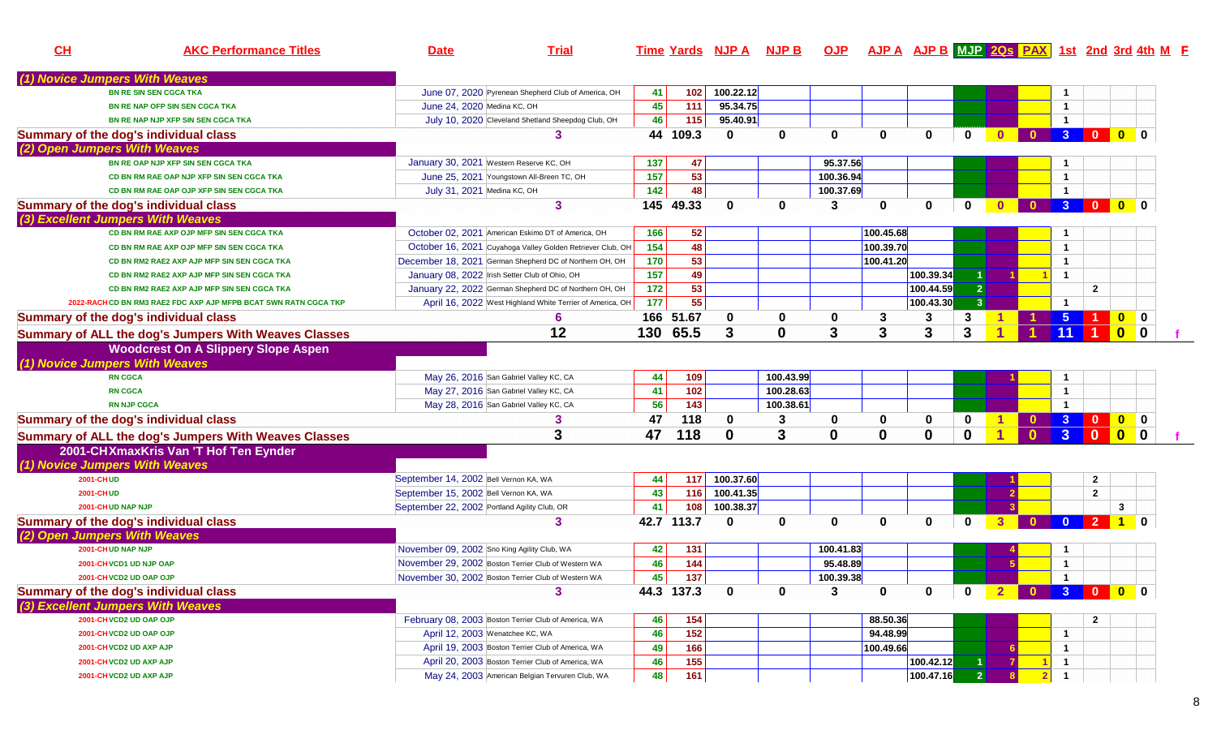| CH | <b>AKC Performance Titles</b>                                         | <b>Date</b>                                                                           | <b>Trial</b>                                                                                           |                   |            | <u>Time Yards NJP A NJP B OJP AJP A AJP B MJP 20s PAX 1st 2nd 3rd 4th M F</u> |              |                       |                      |                         |                      |                  |                         |                         |                                |                  |                         |
|----|-----------------------------------------------------------------------|---------------------------------------------------------------------------------------|--------------------------------------------------------------------------------------------------------|-------------------|------------|-------------------------------------------------------------------------------|--------------|-----------------------|----------------------|-------------------------|----------------------|------------------|-------------------------|-------------------------|--------------------------------|------------------|-------------------------|
|    | (1) Novice Jumpers With Weaves                                        |                                                                                       |                                                                                                        |                   |            |                                                                               |              |                       |                      |                         |                      |                  |                         |                         |                                |                  |                         |
|    | <b>BN RE SIN SEN CGCA TKA</b>                                         |                                                                                       |                                                                                                        |                   |            | 100.22.12                                                                     |              |                       |                      |                         |                      |                  |                         |                         |                                |                  |                         |
|    |                                                                       | June 24, 2020 Medina KC, OH                                                           | June 07, 2020 Pyrenean Shepherd Club of America, OH                                                    | 41                | 102<br>111 | 95.34.75                                                                      |              |                       |                      |                         |                      |                  |                         |                         |                                |                  |                         |
|    | BN RE NAP OFP SIN SEN CGCA TKA                                        |                                                                                       |                                                                                                        | 45                |            |                                                                               |              |                       |                      |                         |                      |                  |                         | $\mathbf{1}$            |                                |                  |                         |
|    | BN RE NAP NJP XFP SIN SEN CGCA TKA                                    |                                                                                       | July 10, 2020 Cleveland Shetland Sheepdog Club, OH<br>3                                                | 46                | 115        | 95.40.91                                                                      |              |                       |                      |                         |                      |                  |                         | $\overline{1}$          | $3 \quad 0$                    | $\overline{0}$ 0 |                         |
|    | Summary of the dog's individual class<br>(2) Open Jumpers With Weaves |                                                                                       |                                                                                                        |                   | 44 109.3   | $\mathbf{0}$                                                                  | 0            | $\mathbf 0$           | $\mathbf{0}$         | 0                       | $\bf{0}$             |                  |                         |                         |                                |                  |                         |
|    | BN RE OAP NJP XFP SIN SEN CGCA TKA                                    | January 30, 2021 Western Reserve KC, OH                                               |                                                                                                        | 137               | 47         |                                                                               |              | 95.37.56              |                      |                         |                      |                  |                         |                         |                                |                  |                         |
|    | CD BN RM RAE OAP NJP XFP SIN SEN CGCA TKA                             |                                                                                       | June 25, 2021 Youngstown All-Breen TC, OH                                                              | 157               | 53         |                                                                               |              | 100.36.94             |                      |                         |                      |                  |                         | $\mathbf 1$             |                                |                  |                         |
|    | CD BN RM RAE OAP OJP XFP SIN SEN CGCA TKA                             | July 31, 2021 Medina KC, OH                                                           |                                                                                                        | 142               | 48         |                                                                               |              | 100.37.69             |                      |                         |                      |                  |                         | -1                      |                                |                  |                         |
|    | Summary of the dog's individual class                                 |                                                                                       | 3                                                                                                      |                   | 145 49.33  | $\bf{0}$                                                                      | <sup>0</sup> | 3                     | 0                    | $\mathbf 0$             | $\mathbf{0}$         | $\mathbf{0}$     | $\bullet$               |                         | 3 0 0 0                        |                  |                         |
|    | (3) Excellent Jumpers With Weaves                                     |                                                                                       |                                                                                                        |                   |            |                                                                               |              |                       |                      |                         |                      |                  |                         |                         |                                |                  |                         |
|    | CD BN RM RAE AXP OJP MFP SIN SEN CGCA TKA                             |                                                                                       | October 02, 2021 American Eskimo DT of America, OH                                                     | 166               | 52         |                                                                               |              |                       | 100.45.68            |                         |                      |                  |                         |                         |                                |                  |                         |
|    | CD BN RM RAE AXP OJP MFP SIN SEN CGCA TKA                             |                                                                                       | October 16, 2021 Cuyahoga Valley Golden Retriever Club, OH                                             | 154               | 48         |                                                                               |              |                       | 100.39.70            |                         |                      |                  |                         | $\overline{1}$          |                                |                  |                         |
|    | CD BN RM2 RAE2 AXP AJP MFP SIN SEN CGCA TKA                           |                                                                                       | December 18, 2021 German Shepherd DC of Northern OH, OH                                                | 170               | 53         |                                                                               |              |                       | 100.41.20            |                         |                      |                  |                         | $\mathbf 1$             |                                |                  |                         |
|    | CD BN RM2 RAE2 AXP AJP MFP SIN SEN CGCA TKA                           |                                                                                       | January 08, 2022 Irish Setter Club of Ohio, OH                                                         | $\frac{157}{157}$ | 49         |                                                                               |              |                       |                      | 100.39.34               | $\blacktriangleleft$ |                  |                         | $\overline{1}$          |                                |                  |                         |
|    | CD BN RM2 RAE2 AXP AJP MFP SIN SEN CGCA TKA                           |                                                                                       | January 22, 2022 German Shepherd DC of Northern OH, OH                                                 | 172               | 53         |                                                                               |              |                       |                      | 100.44.59               | 2 <sup>1</sup>       |                  |                         |                         | $\mathbf{2}$                   |                  |                         |
|    | 2022-RACHCD BN RM3 RAE2 FDC AXP AJP MFPB BCAT SWN RATN CGCA TKP       |                                                                                       | April 16, 2022 West Highland White Terrier of America, OH                                              | 177               | 55         |                                                                               |              |                       |                      | 100.43.30               | $\overline{3}$       |                  |                         | -1                      |                                |                  |                         |
|    | Summary of the dog's individual class                                 |                                                                                       | 6                                                                                                      |                   | 166 51.67  | 0                                                                             | 0            | 0                     |                      | 3                       | 3                    |                  |                         | $5^{\circ}$             |                                | $0$ 0            |                         |
|    | <b>Summary of ALL the dog's Jumpers With Weaves Classes</b>           |                                                                                       | 12                                                                                                     |                   | 130 65.5   | 3                                                                             | $\mathbf 0$  | 3                     | 3                    | 3                       | 3                    |                  |                         |                         |                                | $\mathbf{0}$     | $\overline{\mathbf{0}}$ |
|    | <b>Woodcrest On A Slippery Slope Aspen</b>                            |                                                                                       |                                                                                                        |                   |            |                                                                               |              |                       |                      |                         |                      |                  |                         |                         |                                |                  |                         |
|    | (1) Novice Jumpers With Weaves                                        |                                                                                       |                                                                                                        |                   |            |                                                                               |              |                       |                      |                         |                      |                  |                         |                         |                                |                  |                         |
|    | <b>RN CGCA</b>                                                        |                                                                                       | May 26, 2016 San Gabriel Valley KC, CA                                                                 | 44                | 109        |                                                                               | 100.43.99    |                       |                      |                         |                      |                  |                         |                         |                                |                  |                         |
|    | <b>RN CGCA</b>                                                        |                                                                                       | May 27, 2016 San Gabriel Valley KC, CA                                                                 | 41                | 102        |                                                                               | 100.28.63    |                       |                      |                         |                      |                  |                         | $\mathbf{1}$            |                                |                  |                         |
|    | <b>RN NJP CGCA</b>                                                    |                                                                                       | May 28, 2016 San Gabriel Valley KC, CA                                                                 | 56                | 143        |                                                                               | 100.38.61    |                       |                      |                         |                      |                  |                         | $\overline{1}$          |                                |                  |                         |
|    | <b>Summary of the dog's individual class</b>                          |                                                                                       | 3                                                                                                      | 47                | 118        | $\mathbf 0$                                                                   | 3            | 0                     | 0                    | 0                       | 0                    |                  |                         | $0 \quad 3 \quad 0$     |                                |                  |                         |
|    |                                                                       |                                                                                       | 3                                                                                                      | 47                | 118        | $\mathbf 0$                                                                   | 3            | $\bf{0}$              | $\mathbf 0$          | $\mathbf 0$             | $\mathbf 0$          | 1                | $\mathbf{0}$            | 3 <sup>2</sup>          | $\overline{\mathbf{0}}$        |                  |                         |
|    | Summary of ALL the dog's Jumpers With Weaves Classes                  |                                                                                       |                                                                                                        |                   |            |                                                                               |              |                       |                      |                         |                      |                  |                         |                         |                                |                  |                         |
|    | 2001-CHXmaxKris Van 'T Hof Ten Eynder                                 |                                                                                       |                                                                                                        |                   |            |                                                                               |              |                       |                      |                         |                      |                  |                         |                         |                                |                  |                         |
|    | (1) Novice Jumpers With Weaves                                        |                                                                                       |                                                                                                        |                   |            | 100.37.60                                                                     |              |                       |                      |                         |                      |                  |                         |                         |                                |                  |                         |
|    | <b>2001-CHUD</b><br>2001-CHUD                                         | September 14, 2002 Bell Vernon KA, WA                                                 |                                                                                                        | 44 <br>43         | 117<br>116 | 100.41.35                                                                     |              |                       |                      |                         |                      |                  |                         |                         | $\mathbf{2}$<br>$\overline{2}$ |                  |                         |
|    | 2001-CHUD NAP NJP                                                     | September 15, 2002 Bell Vernon KA, WA<br>September 22, 2002 Portland Agility Club, OR |                                                                                                        | 41                | 108        | 100.38.37                                                                     |              |                       |                      |                         |                      |                  |                         |                         |                                | 3                |                         |
|    |                                                                       |                                                                                       | 3                                                                                                      |                   | 42.7 113.7 | $\mathbf{0}$                                                                  | $\bf{0}$     | $\mathbf 0$           | $\bf{0}$             | 0                       | $\bf{0}$             |                  | $\mathbf{0}$            | $\mathbf{0}$            | $\overline{2}$                 |                  |                         |
|    | Summary of the dog's individual class                                 |                                                                                       |                                                                                                        |                   |            |                                                                               |              |                       |                      |                         |                      |                  |                         |                         |                                |                  |                         |
|    | (2) Open Jumpers With Weaves<br>2001-CHUD NAP NJP                     |                                                                                       |                                                                                                        |                   |            |                                                                               |              |                       |                      |                         |                      |                  |                         |                         |                                |                  |                         |
|    |                                                                       | November 09, 2002 Sno King Agility Club, WA                                           | November 29, 2002 Boston Terrier Club of Western WA                                                    | 42                | 131<br>144 |                                                                               |              | 100.41.83<br>95.48.89 |                      |                         |                      |                  |                         | $\overline{1}$          |                                |                  |                         |
|    | 2001-CHVCD1 UD NJP OAP                                                |                                                                                       | November 30, 2002 Boston Terrier Club of Western WA                                                    | 46<br>45          | 137        |                                                                               |              | 100.39.38             |                      |                         |                      |                  |                         | $\overline{\mathbf{1}}$ |                                |                  |                         |
|    | 2001-CHVCD2 UD OAP OJP                                                |                                                                                       |                                                                                                        |                   |            |                                                                               |              |                       |                      |                         |                      |                  |                         |                         |                                |                  |                         |
|    | Summary of the dog's individual class                                 |                                                                                       | 3                                                                                                      |                   | 44.3 137.3 | $\mathbf 0$                                                                   | $\mathbf 0$  | 3                     | 0                    | $\overline{\mathbf{0}}$ | $\mathbf{0}$         | $\blacksquare$ 2 | <b>0 3 0 0 0</b>        |                         |                                |                  |                         |
|    | (3) Excellent Jumpers With Weaves                                     |                                                                                       |                                                                                                        |                   |            |                                                                               |              |                       |                      |                         |                      |                  |                         |                         |                                |                  |                         |
|    | 2001-CHVCD2 UD OAP OJP                                                |                                                                                       | February 08, 2003 Boston Terrier Club of America, WA                                                   | 46                | 154        |                                                                               |              |                       | 88.50.36<br>94.48.99 |                         |                      |                  |                         |                         | $\mathbf{2}$                   |                  |                         |
|    | 2001-CHVCD2 UD OAP OJP                                                | April 12, 2003 Wenatchee KC, WA                                                       |                                                                                                        | 46                | 152        |                                                                               |              |                       |                      |                         |                      |                  |                         | -1                      |                                |                  |                         |
|    | 2001-CH VCD2 UD AXP AJP                                               |                                                                                       | April 19, 2003 Boston Terrier Club of America, WA<br>April 20, 2003 Boston Terrier Club of America, WA | 49                | 166        |                                                                               |              |                       | 100.49.66            |                         |                      |                  |                         | $\mathbf 1$             |                                |                  |                         |
|    | 2001-CH VCD2 UD AXP AJP                                               |                                                                                       | May 24, 2003 American Belgian Tervuren Club, WA                                                        | 46                | 155        |                                                                               |              |                       |                      | 100.42.12<br>100.47.16  | $\overline{2}$       |                  |                         | $\mathbf{1}$            |                                |                  |                         |
|    | 2001-CH VCD2 UD AXP AJP                                               |                                                                                       |                                                                                                        | 48                | 161        |                                                                               |              |                       |                      |                         |                      |                  | $\overline{\mathbf{2}}$ |                         |                                |                  |                         |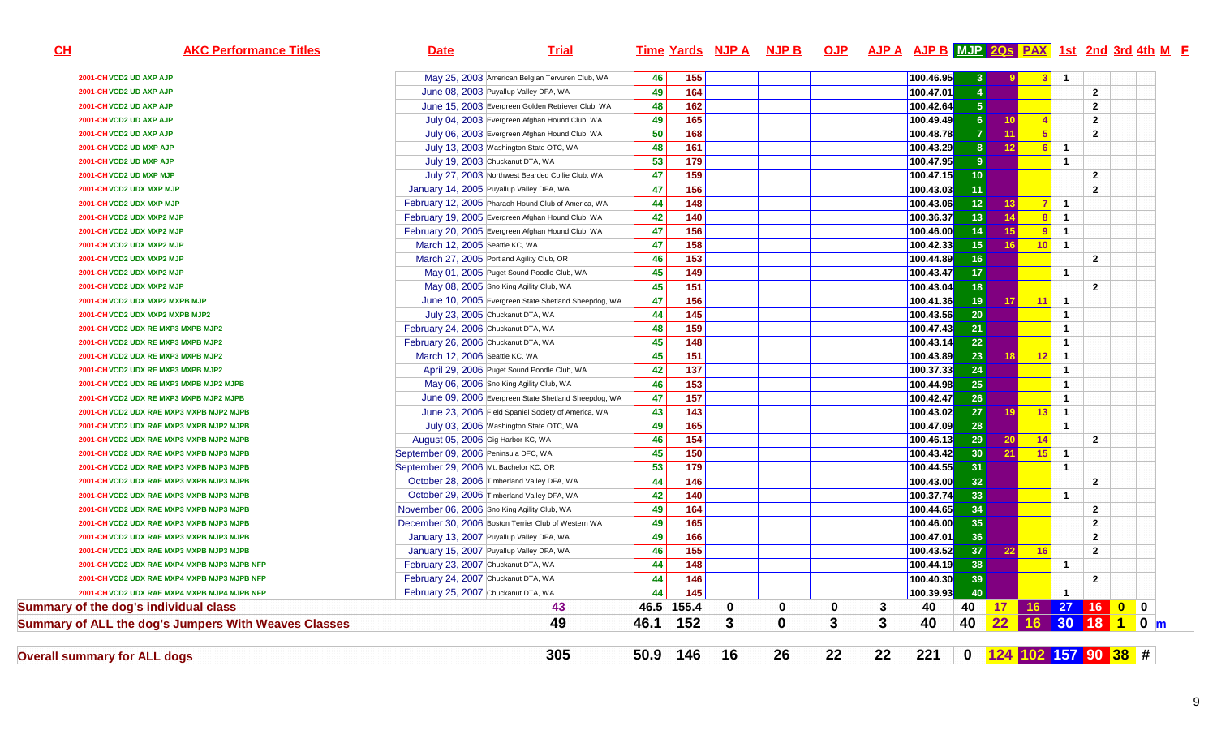| CH                                  | <b>AKC Performance Titles</b>                        | <b>Date</b>                                         | <b>Trial</b>                                        |      | <b>Time Yards NJP A</b> |   | <b>NJP B</b> |    |    | OJP AJP A AJP B MJP 20s PAX 1st 2nd 3rd 4th M F |                         |                 |                |                |                     |               |
|-------------------------------------|------------------------------------------------------|-----------------------------------------------------|-----------------------------------------------------|------|-------------------------|---|--------------|----|----|-------------------------------------------------|-------------------------|-----------------|----------------|----------------|---------------------|---------------|
| 2001-CHVCD2 UD AXP AJP              |                                                      | May 25, 2003 American Belgian Tervuren Club, WA     |                                                     | 46   | 155                     |   |              |    |    | 100.46.95                                       | 3 <sup>2</sup>          |                 | 3              | - 1            |                     |               |
| 2001-CHVCD2 UD AXP AJP              |                                                      | June 08, 2003 Puyallup Valley DFA, WA               |                                                     | 49   | 164                     |   |              |    |    | 100.47.01                                       | $\overline{4}$          |                 |                |                | $\mathbf{2}$        |               |
| 2001-CH VCD2 UD AXP AJP             |                                                      | June 15, 2003 Evergreen Golden Retriever Club, WA   |                                                     | 48   | 162                     |   |              |    |    | 100.42.64                                       | $\overline{5}$          |                 |                |                | $\mathbf{2}$        |               |
| 2001-CHVCD2 UD AXP AJP              |                                                      | July 04, 2003 Evergreen Afghan Hound Club, WA       |                                                     | 49   | 165                     |   |              |    |    | 100.49.49                                       | 6 <sup>°</sup>          | 10 <sup>°</sup> |                |                | $\overline{2}$      |               |
| 2001-CHVCD2 UD AXP AJP              |                                                      | July 06, 2003 Evergreen Afghan Hound Club, WA       |                                                     | 50   | 168                     |   |              |    |    | 100.48.78                                       | 7 <sup>1</sup>          | 11              | -5             |                | $\overline{2}$      |               |
| 2001-CHVCD2 UD MXP AJP              |                                                      | July 13, 2003 Washington State OTC, WA              |                                                     | 48   | 161                     |   |              |    |    | 100.43.29                                       | $\overline{\mathbf{8}}$ | 12 <sub>1</sub> | 6              | $\overline{1}$ |                     |               |
| 2001-CHVCD2 UD MXP AJP              |                                                      | July 19, 2003 Chuckanut DTA, WA                     |                                                     | 53   | 179                     |   |              |    |    | 100.47.95                                       | 9 <sup>°</sup>          |                 |                | $\overline{1}$ |                     |               |
| 2001-CHVCD2 UD MXP MJP              |                                                      | July 27, 2003 Northwest Bearded Collie Club, WA     |                                                     | 47   | 159                     |   |              |    |    | 100.47.15                                       | 10 <sup>1</sup>         |                 |                |                | $\overline{2}$      |               |
| 2001-CH VCD2 UDX MXP MJP            |                                                      | January 14, 2005 Puyallup Valley DFA, WA            |                                                     | 47   | 156                     |   |              |    |    | 100.43.03                                       | 11                      |                 |                |                | $\overline{2}$      |               |
| 2001-CH VCD2 UDX MXP MJP            |                                                      | February 12, 2005 Pharaoh Hound Club of America, WA |                                                     | 44   | 148                     |   |              |    |    | 100.43.06                                       | 12 <sup>°</sup>         | 13 <sup>°</sup> | $\overline{7}$ | $\blacksquare$ |                     |               |
| 2001-CH VCD2 UDX MXP2 MJP           |                                                      | February 19, 2005 Evergreen Afghan Hound Club, WA   |                                                     | 42   | 140                     |   |              |    |    | 100.36.37                                       | 13                      | 14 <sup>°</sup> | 8              | $\overline{1}$ |                     |               |
| 2001-CH VCD2 UDX MXP2 MJP           |                                                      | February 20, 2005 Evergreen Afghan Hound Club, WA   |                                                     | 47   | 156                     |   |              |    |    | 100.46.00                                       | 14                      | 15 <sub>1</sub> | 9              | $\overline{1}$ |                     |               |
| 2001-CH VCD2 UDX MXP2 MJP           |                                                      | March 12, 2005 Seattle KC, WA                       |                                                     | 47   | 158                     |   |              |    |    | 100.42.33                                       | 15                      | 16              | 10             | $\blacksquare$ |                     |               |
| 2001-CH VCD2 UDX MXP2 MJP           |                                                      | March 27, 2005 Portland Agility Club, OR            |                                                     | 46   | 153                     |   |              |    |    | 100.44.89                                       | 16                      |                 |                |                | $\overline{2}$      |               |
| 2001-CH VCD2 UDX MXP2 MJP           |                                                      | May 01, 2005 Puget Sound Poodle Club, WA            |                                                     | 45   | 149                     |   |              |    |    | 100.43.47                                       | 17                      |                 |                | $\overline{1}$ |                     |               |
| 2001-CH VCD2 UDX MXP2 MJP           |                                                      | May 08, 2005 Sno King Agility Club, WA              |                                                     | 45   | 151                     |   |              |    |    | 100.43.04                                       | 18                      |                 |                |                | $\overline{2}$      |               |
|                                     | 2001-CH VCD2 UDX MXP2 MXPB MJP                       |                                                     | June 10, 2005 Evergreen State Shetland Sheepdog, WA | 47   | $\frac{156}{ }$         |   |              |    |    | 100.41.36                                       | 19                      | 17              | 11             | $\mathbf{1}$   |                     |               |
|                                     | 2001-CH VCD2 UDX MXP2 MXPB MJP2                      | July 23, 2005 Chuckanut DTA, WA                     |                                                     | 44   | $\frac{145}{145}$       |   |              |    |    | 100.43.56                                       | 20 <sub>2</sub>         |                 |                | $\overline{1}$ |                     |               |
|                                     | 2001-CH VCD2 UDX RE MXP3 MXPB MJP2                   | February 24, 2006 Chuckanut DTA, WA                 |                                                     | 48   | 159                     |   |              |    |    | 100.47.43                                       | 21                      |                 |                | $\overline{1}$ |                     |               |
|                                     | 2001-CHVCD2 UDX RE MXP3 MXPB MJP2                    | February 26, 2006 Chuckanut DTA, WA                 |                                                     | 45   | 148                     |   |              |    |    | 100.43.14                                       | 22                      |                 |                | $\overline{1}$ |                     |               |
|                                     | 2001-CH VCD2 UDX RE MXP3 MXPB MJP2                   | March 12, 2006 Seattle KC, WA                       |                                                     | 45   | 151                     |   |              |    |    | 100.43.89                                       | 23                      | 18 <sup>1</sup> | 12             | $\overline{1}$ |                     |               |
|                                     | 2001-CH VCD2 UDX RE MXP3 MXPB MJP2                   | April 29, 2006 Puget Sound Poodle Club, WA          |                                                     | 42   | 137                     |   |              |    |    | 100.37.33                                       | 24                      |                 |                | $\mathbf{1}$   |                     |               |
|                                     | 2001-CH VCD2 UDX RE MXP3 MXPB MJP2 MJPB              | May 06, 2006 Sno King Agility Club, WA              |                                                     | 46   | 153                     |   |              |    |    | 100.44.98                                       | 25                      |                 |                | $\overline{1}$ |                     |               |
|                                     | 2001-CH VCD2 UDX RE MXP3 MXPB MJP2 MJPB              |                                                     | June 09, 2006 Evergreen State Shetland Sheepdog, WA | 47   | $\frac{157}{157}$       |   |              |    |    | 100.42.47                                       | 26                      |                 |                | $\overline{1}$ |                     |               |
|                                     | 2001-CH VCD2 UDX RAE MXP3 MXPB MJP2 MJPB             | June 23, 2006 Field Spaniel Society of America, WA  |                                                     | 43   | 143                     |   |              |    |    | 100.43.02                                       | 27 <sup>1</sup>         | 19              | $-13$          | $\overline{1}$ |                     |               |
|                                     | 2001-CH VCD2 UDX RAE MXP3 MXPB MJP2 MJPB             | July 03, 2006 Washington State OTC, WA              |                                                     | 49   | 165                     |   |              |    |    | 100.47.09                                       | $\overline{28}$         |                 |                | $\overline{1}$ |                     |               |
|                                     | 2001-CH VCD2 UDX RAE MXP3 MXPB MJP2 MJPB             | August 05, 2006 Gig Harbor KC, WA                   |                                                     | 46   | 154                     |   |              |    |    | 100.46.13                                       | 29                      | 20 <sub>2</sub> | 14             |                | $\overline{2}$      |               |
|                                     | 2001-CH VCD2 UDX RAE MXP3 MXPB MJP3 MJPB             | September 09, 2006 Peninsula DFC, WA                |                                                     | 45   | 150                     |   |              |    |    | 100.43.42                                       | 30 <sub>o</sub>         | 21              | 15             | $\overline{1}$ |                     |               |
|                                     | 2001-CH VCD2 UDX RAE MXP3 MXPB MJP3 MJPB             | September 29, 2006 Mt. Bachelor KC, OR              |                                                     | 53   | 179                     |   |              |    |    | 100.44.55                                       | 31                      |                 |                | $\overline{1}$ |                     |               |
|                                     | 2001-CH VCD2 UDX RAE MXP3 MXPB MJP3 MJPB             | October 28, 2006 Timberland Valley DFA, WA          |                                                     | 44   | $\frac{146}{ }$         |   |              |    |    | 100.43.00                                       | 32                      |                 |                |                | $\overline{2}$      |               |
|                                     | 2001-CH VCD2 UDX RAE MXP3 MXPB MJP3 MJPB             | October 29, 2006 Timberland Valley DFA, WA          |                                                     | 42   | 140                     |   |              |    |    | 100.37.74                                       | 33                      |                 |                | $\overline{1}$ |                     |               |
|                                     | 2001-CH VCD2 UDX RAE MXP3 MXPB MJP3 MJPB             | November 06, 2006 Sno King Agility Club, WA         |                                                     | 49   | 164                     |   |              |    |    | 100.44.65                                       | 34                      |                 |                |                | $\overline{2}$      |               |
|                                     | 2001-CH VCD2 UDX RAE MXP3 MXPB MJP3 MJPB             | December 30, 2006 Boston Terrier Club of Western WA |                                                     | 49   | 165                     |   |              |    |    | 100.46.00                                       | 35                      |                 |                |                | $\overline{2}$      |               |
|                                     | 2001-CH VCD2 UDX RAE MXP3 MXPB MJP3 MJPB             | January 13, 2007 Puyallup Valley DFA, WA            |                                                     | 49   | 166                     |   |              |    |    | 100.47.01                                       | 36                      |                 |                |                | $\mathbf{2}$        |               |
|                                     | 2001-CH VCD2 UDX RAE MXP3 MXPB MJP3 MJPB             | January 15, 2007 Puyallup Valley DFA, WA            |                                                     | 46   | $\overline{155}$        |   |              |    |    | 100.43.52                                       | 37                      | 22              | 16             |                | $\overline{2}$      |               |
|                                     | 2001-CH VCD2 UDX RAE MXP4 MXPB MJP3 MJPB NFP         | February 23, 2007 Chuckanut DTA, WA                 |                                                     | 44   | 148                     |   |              |    |    | 100.44.19                                       | 38                      |                 |                | $\overline{1}$ |                     |               |
|                                     | 2001-CH VCD2 UDX RAE MXP4 MXPB MJP3 MJPB NFP         | February 24, 2007 Chuckanut DTA, WA                 |                                                     | 44   | 146                     |   |              |    |    | 100.40.30                                       | 39                      |                 |                |                | $\overline{2}$      |               |
|                                     | 2001-CH VCD2 UDX RAE MXP4 MXPB MJP4 MJPB NFP         | February 25, 2007 Chuckanut DTA, WA                 |                                                     | 44   | 145                     |   |              |    |    | 100.39.93                                       | 40                      |                 |                | $\blacksquare$ |                     |               |
|                                     | <b>Summary of the dog's individual class</b>         |                                                     | 43                                                  | 46.5 | 155.4                   | 0 | $\bf{0}$     | 0  | 3  | 40                                              | 40                      | 17              |                |                | 16 27 16 0          | $\mathbf 0$   |
|                                     | Summary of ALL the dog's Jumpers With Weaves Classes |                                                     | 49                                                  | 46.1 | 152                     | 3 | $\mathbf 0$  | 3  | 3  | 40                                              | 40                      | 22              | 16 30 18       |                | $\mathbf{1}$        | $0 \text{ m}$ |
|                                     |                                                      |                                                     | 305                                                 | 50.9 | 146<br>16               |   | 26           | 22 | 22 | 221                                             | $\mathbf 0$             |                 |                |                | 124 102 157 90 38 # |               |
| <b>Overall summary for ALL dogs</b> |                                                      |                                                     |                                                     |      |                         |   |              |    |    |                                                 |                         |                 |                |                |                     |               |